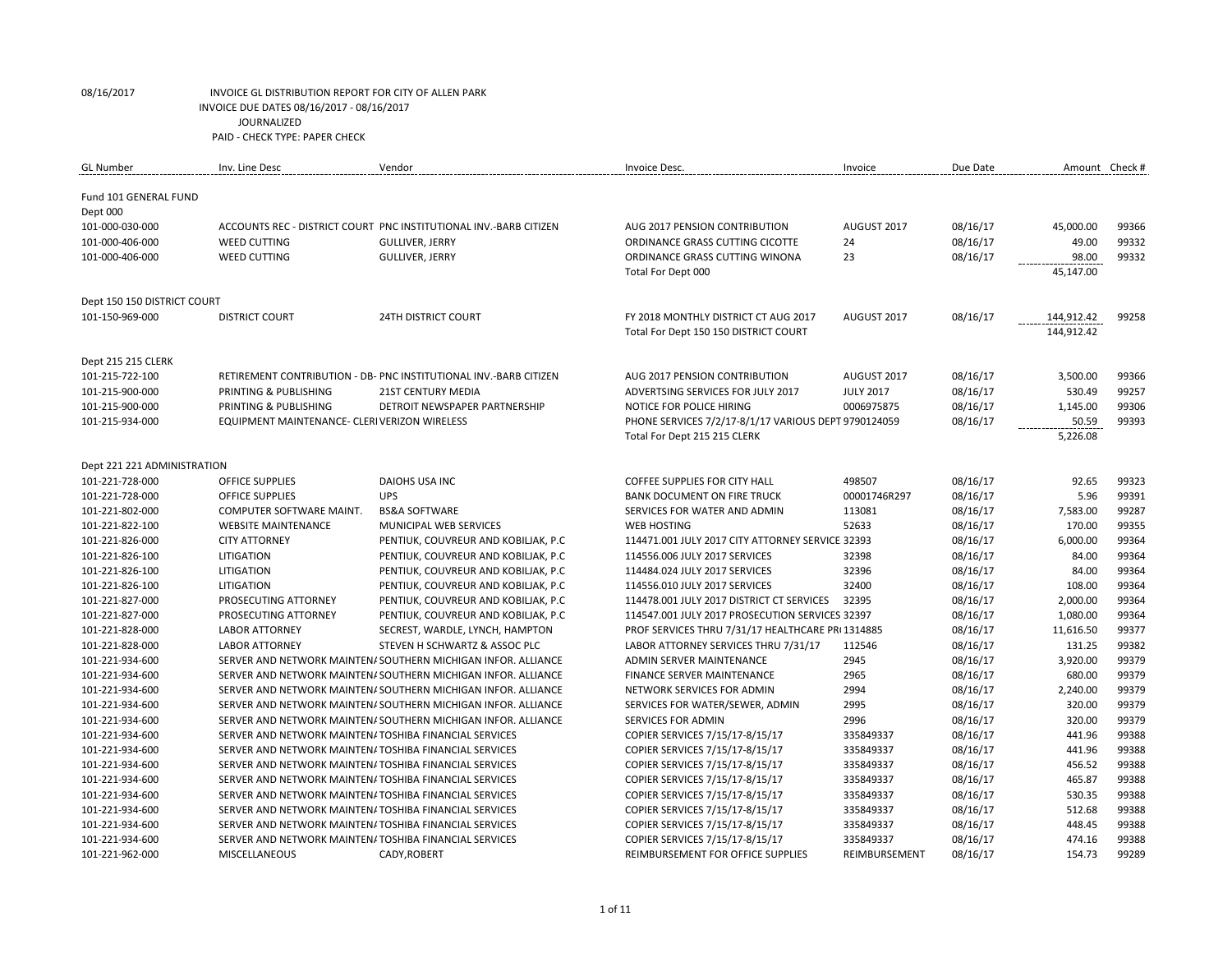| <b>GL</b> Number                   | Inv. Line Desc                                                        | Vendor                                                                                         | Invoice Desc.                                                                    | Invoice                         | Due Date             | Amount Check #     |                |
|------------------------------------|-----------------------------------------------------------------------|------------------------------------------------------------------------------------------------|----------------------------------------------------------------------------------|---------------------------------|----------------------|--------------------|----------------|
|                                    |                                                                       |                                                                                                |                                                                                  |                                 |                      |                    |                |
| Fund 101 GENERAL FUND              |                                                                       |                                                                                                |                                                                                  |                                 |                      |                    |                |
| Dept 000                           |                                                                       |                                                                                                |                                                                                  |                                 |                      |                    |                |
| 101-000-030-000                    |                                                                       | ACCOUNTS REC - DISTRICT COURT PNC INSTITUTIONAL INV.-BARB CITIZEN                              | AUG 2017 PENSION CONTRIBUTION                                                    | AUGUST 2017                     | 08/16/17             | 45,000.00          | 99366          |
| 101-000-406-000                    | <b>WEED CUTTING</b>                                                   | <b>GULLIVER, JERRY</b>                                                                         | ORDINANCE GRASS CUTTING CICOTTE                                                  | 24                              | 08/16/17             | 49.00              | 99332          |
| 101-000-406-000                    | <b>WEED CUTTING</b>                                                   | <b>GULLIVER, JERRY</b>                                                                         | ORDINANCE GRASS CUTTING WINONA                                                   | 23                              | 08/16/17             | 98.00              | 99332          |
|                                    |                                                                       |                                                                                                | Total For Dept 000                                                               |                                 |                      | 45,147.00          |                |
|                                    |                                                                       |                                                                                                |                                                                                  |                                 |                      |                    |                |
| Dept 150 150 DISTRICT COURT        |                                                                       |                                                                                                |                                                                                  |                                 |                      |                    |                |
| 101-150-969-000                    | <b>DISTRICT COURT</b>                                                 | <b>24TH DISTRICT COURT</b>                                                                     | FY 2018 MONTHLY DISTRICT CT AUG 2017                                             | AUGUST 2017                     | 08/16/17             | 144,912.42         | 99258          |
|                                    |                                                                       |                                                                                                | Total For Dept 150 150 DISTRICT COURT                                            |                                 |                      | 144,912.42         |                |
|                                    |                                                                       |                                                                                                |                                                                                  |                                 |                      |                    |                |
| Dept 215 215 CLERK                 |                                                                       |                                                                                                |                                                                                  |                                 |                      |                    |                |
| 101-215-722-100<br>101-215-900-000 | PRINTING & PUBLISHING                                                 | RETIREMENT CONTRIBUTION - DB- PNC INSTITUTIONAL INV.-BARB CITIZEN<br><b>21ST CENTURY MEDIA</b> | AUG 2017 PENSION CONTRIBUTION<br>ADVERTSING SERVICES FOR JULY 2017               | AUGUST 2017<br><b>JULY 2017</b> | 08/16/17<br>08/16/17 | 3,500.00<br>530.49 | 99366<br>99257 |
|                                    |                                                                       |                                                                                                |                                                                                  |                                 |                      |                    | 99306          |
| 101-215-900-000<br>101-215-934-000 | PRINTING & PUBLISHING<br>EQUIPMENT MAINTENANCE- CLERIVERIZON WIRELESS | DETROIT NEWSPAPER PARTNERSHIP                                                                  | NOTICE FOR POLICE HIRING<br>PHONE SERVICES 7/2/17-8/1/17 VARIOUS DEPT 9790124059 | 0006975875                      | 08/16/17<br>08/16/17 | 1,145.00<br>50.59  | 99393          |
|                                    |                                                                       |                                                                                                | Total For Dept 215 215 CLERK                                                     |                                 |                      | 5,226.08           |                |
|                                    |                                                                       |                                                                                                |                                                                                  |                                 |                      |                    |                |
| Dept 221 221 ADMINISTRATION        |                                                                       |                                                                                                |                                                                                  |                                 |                      |                    |                |
| 101-221-728-000                    | <b>OFFICE SUPPLIES</b>                                                | <b>DAIOHS USA INC</b>                                                                          | COFFEE SUPPLIES FOR CITY HALL                                                    | 498507                          | 08/16/17             | 92.65              | 99323          |
| 101-221-728-000                    | <b>OFFICE SUPPLIES</b>                                                | <b>UPS</b>                                                                                     | <b>BANK DOCUMENT ON FIRE TRUCK</b>                                               | 00001746R297                    | 08/16/17             | 5.96               | 99391          |
| 101-221-802-000                    | COMPUTER SOFTWARE MAINT.                                              | <b>BS&amp;A SOFTWARE</b>                                                                       | SERVICES FOR WATER AND ADMIN                                                     | 113081                          | 08/16/17             | 7,583.00           | 99287          |
| 101-221-822-100                    | <b>WEBSITE MAINTENANCE</b>                                            | MUNICIPAL WEB SERVICES                                                                         | <b>WEB HOSTING</b>                                                               | 52633                           | 08/16/17             | 170.00             | 99355          |
| 101-221-826-000                    | <b>CITY ATTORNEY</b>                                                  | PENTIUK, COUVREUR AND KOBILJAK, P.C.                                                           | 114471.001 JULY 2017 CITY ATTORNEY SERVICE 32393                                 |                                 | 08/16/17             | 6,000.00           | 99364          |
| 101-221-826-100                    | LITIGATION                                                            | PENTIUK, COUVREUR AND KOBILIAK, P.C.                                                           | 114556.006 JULY 2017 SERVICES                                                    | 32398                           | 08/16/17             | 84.00              | 99364          |
| 101-221-826-100                    | LITIGATION                                                            | PENTIUK, COUVREUR AND KOBILJAK, P.C.                                                           | 114484.024 JULY 2017 SERVICES                                                    | 32396                           | 08/16/17             | 84.00              | 99364          |
| 101-221-826-100                    | LITIGATION                                                            | PENTIUK, COUVREUR AND KOBILJAK, P.C                                                            | 114556.010 JULY 2017 SERVICES                                                    | 32400                           | 08/16/17             | 108.00             | 99364          |
| 101-221-827-000                    | PROSECUTING ATTORNEY                                                  | PENTIUK, COUVREUR AND KOBILJAK, P.C                                                            | 114478.001 JULY 2017 DISTRICT CT SERVICES                                        | 32395                           | 08/16/17             | 2,000.00           | 99364          |
| 101-221-827-000                    | PROSECUTING ATTORNEY                                                  | PENTIUK, COUVREUR AND KOBILJAK, P.C.                                                           | 114547.001 JULY 2017 PROSECUTION SERVICES 32397                                  |                                 | 08/16/17             | 1,080.00           | 99364          |
| 101-221-828-000                    | <b>LABOR ATTORNEY</b>                                                 | SECREST, WARDLE, LYNCH, HAMPTON                                                                | PROF SERVICES THRU 7/31/17 HEALTHCARE PRI 1314885                                |                                 | 08/16/17             | 11,616.50          | 99377          |
| 101-221-828-000                    | <b>LABOR ATTORNEY</b>                                                 | STEVEN H SCHWARTZ & ASSOC PLC                                                                  | LABOR ATTORNEY SERVICES THRU 7/31/17                                             | 112546                          | 08/16/17             | 131.25             | 99382          |
| 101-221-934-600                    |                                                                       | SERVER AND NETWORK MAINTEN/ SOUTHERN MICHIGAN INFOR. ALLIANCE                                  | ADMIN SERVER MAINTENANCE                                                         | 2945                            | 08/16/17             | 3,920.00           | 99379          |
| 101-221-934-600                    |                                                                       | SERVER AND NETWORK MAINTEN/ SOUTHERN MICHIGAN INFOR. ALLIANCE                                  | <b>FINANCE SERVER MAINTENANCE</b>                                                | 2965                            | 08/16/17             | 680.00             | 99379          |
| 101-221-934-600                    |                                                                       | SERVER AND NETWORK MAINTEN/ SOUTHERN MICHIGAN INFOR. ALLIANCE                                  | NETWORK SERVICES FOR ADMIN                                                       | 2994                            | 08/16/17             | 2,240.00           | 99379          |
| 101-221-934-600                    |                                                                       | SERVER AND NETWORK MAINTEN/ SOUTHERN MICHIGAN INFOR. ALLIANCE                                  | SERVICES FOR WATER/SEWER, ADMIN                                                  | 2995                            | 08/16/17             | 320.00             | 99379          |
| 101-221-934-600                    |                                                                       | SERVER AND NETWORK MAINTEN/ SOUTHERN MICHIGAN INFOR. ALLIANCE                                  | <b>SERVICES FOR ADMIN</b>                                                        | 2996                            | 08/16/17             | 320.00             | 99379          |
| 101-221-934-600                    | SERVER AND NETWORK MAINTEN/TOSHIBA FINANCIAL SERVICES                 |                                                                                                | COPIER SERVICES 7/15/17-8/15/17                                                  | 335849337                       | 08/16/17             | 441.96             | 99388          |
| 101-221-934-600                    | SERVER AND NETWORK MAINTEN/TOSHIBA FINANCIAL SERVICES                 |                                                                                                | COPIER SERVICES 7/15/17-8/15/17                                                  | 335849337                       | 08/16/17             | 441.96             | 99388          |
| 101-221-934-600                    | SERVER AND NETWORK MAINTEN/ TOSHIBA FINANCIAL SERVICES                |                                                                                                | COPIER SERVICES 7/15/17-8/15/17                                                  | 335849337                       | 08/16/17             | 456.52             | 99388          |
| 101-221-934-600                    | SERVER AND NETWORK MAINTEN/TOSHIBA FINANCIAL SERVICES                 |                                                                                                | COPIER SERVICES 7/15/17-8/15/17                                                  | 335849337                       | 08/16/17             | 465.87             | 99388          |
| 101-221-934-600                    | SERVER AND NETWORK MAINTEN/ TOSHIBA FINANCIAL SERVICES                |                                                                                                | COPIER SERVICES 7/15/17-8/15/17                                                  | 335849337                       | 08/16/17             | 530.35             | 99388          |
| 101-221-934-600                    | SERVER AND NETWORK MAINTEN/TOSHIBA FINANCIAL SERVICES                 |                                                                                                | COPIER SERVICES 7/15/17-8/15/17                                                  | 335849337                       | 08/16/17             | 512.68             | 99388          |
| 101-221-934-600                    | SERVER AND NETWORK MAINTEN/TOSHIBA FINANCIAL SERVICES                 |                                                                                                | COPIER SERVICES 7/15/17-8/15/17                                                  | 335849337                       | 08/16/17             | 448.45             | 99388          |
| 101-221-934-600                    | SERVER AND NETWORK MAINTEN/TOSHIBA FINANCIAL SERVICES                 |                                                                                                | COPIER SERVICES 7/15/17-8/15/17                                                  | 335849337                       | 08/16/17             | 474.16             | 99388          |
| 101-221-962-000                    | <b>MISCELLANEOUS</b>                                                  | CADY.ROBERT                                                                                    | REIMBURSEMENT FOR OFFICE SUPPLIES                                                | REIMBURSEMENT                   | 08/16/17             | 154.73             | 99289          |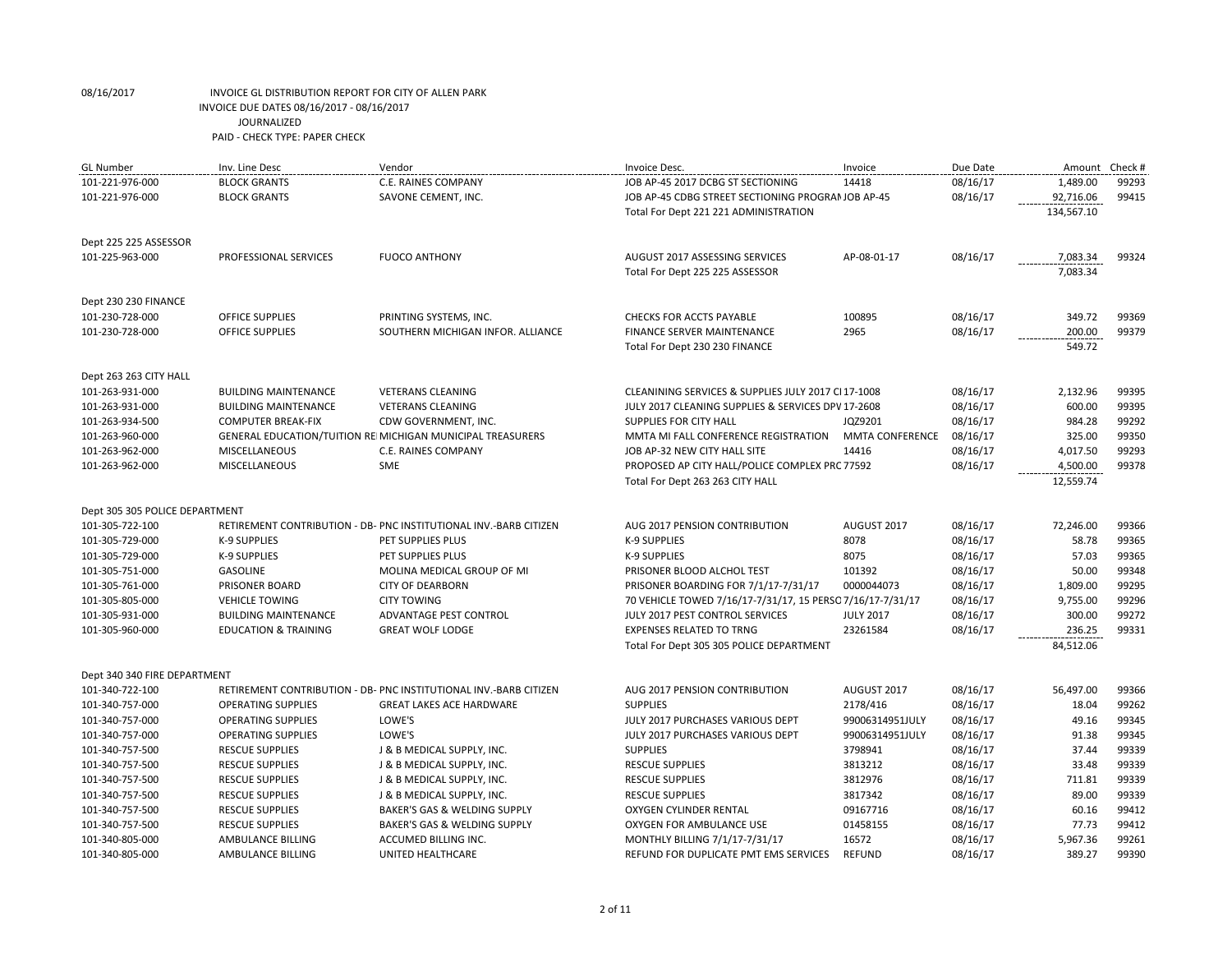| <b>GL Number</b>               | Inv. Line Desc                  | Vendor                                                            | Invoice Desc.                                              | Invoice                | Due Date |            | Amount Check # |
|--------------------------------|---------------------------------|-------------------------------------------------------------------|------------------------------------------------------------|------------------------|----------|------------|----------------|
| 101-221-976-000                | <b>BLOCK GRANTS</b>             | C.E. RAINES COMPANY                                               | JOB AP-45 2017 DCBG ST SECTIONING                          | 14418                  | 08/16/17 | 1,489.00   | 99293          |
| 101-221-976-000                | <b>BLOCK GRANTS</b>             | SAVONE CEMENT, INC.                                               | JOB AP-45 CDBG STREET SECTIONING PROGRAI JOB AP-45         |                        | 08/16/17 | 92,716.06  | 99415          |
|                                |                                 |                                                                   | Total For Dept 221 221 ADMINISTRATION                      |                        |          | 134,567.10 |                |
| Dept 225 225 ASSESSOR          |                                 |                                                                   |                                                            |                        |          |            |                |
| 101-225-963-000                | PROFESSIONAL SERVICES           | <b>FUOCO ANTHONY</b>                                              | AUGUST 2017 ASSESSING SERVICES                             | AP-08-01-17            | 08/16/17 | 7,083.34   | 99324          |
|                                |                                 |                                                                   | Total For Dept 225 225 ASSESSOR                            |                        |          | 7,083.34   |                |
|                                |                                 |                                                                   |                                                            |                        |          |            |                |
| Dept 230 230 FINANCE           |                                 |                                                                   |                                                            |                        |          |            |                |
| 101-230-728-000                | <b>OFFICE SUPPLIES</b>          | PRINTING SYSTEMS, INC.                                            | <b>CHECKS FOR ACCTS PAYABLE</b>                            | 100895                 | 08/16/17 | 349.72     | 99369          |
| 101-230-728-000                | OFFICE SUPPLIES                 | SOUTHERN MICHIGAN INFOR. ALLIANCE                                 | <b>FINANCE SERVER MAINTENANCE</b>                          | 2965                   | 08/16/17 | 200.00     | 99379          |
|                                |                                 |                                                                   | Total For Dept 230 230 FINANCE                             |                        |          | 549.72     |                |
| Dept 263 263 CITY HALL         |                                 |                                                                   |                                                            |                        |          |            |                |
| 101-263-931-000                | <b>BUILDING MAINTENANCE</b>     | <b>VETERANS CLEANING</b>                                          | CLEANINING SERVICES & SUPPLIES JULY 2017 CI 17-1008        |                        | 08/16/17 | 2,132.96   | 99395          |
| 101-263-931-000                | <b>BUILDING MAINTENANCE</b>     | <b>VETERANS CLEANING</b>                                          | JULY 2017 CLEANING SUPPLIES & SERVICES DPV 17-2608         |                        | 08/16/17 | 600.00     | 99395          |
| 101-263-934-500                | <b>COMPUTER BREAK-FIX</b>       | CDW GOVERNMENT, INC.                                              | SUPPLIES FOR CITY HALL                                     | JQZ9201                | 08/16/17 | 984.28     | 99292          |
| 101-263-960-000                |                                 | GENERAL EDUCATION/TUITION REI MICHIGAN MUNICIPAL TREASURERS       | MMTA MI FALL CONFERENCE REGISTRATION                       | <b>MMTA CONFERENCE</b> | 08/16/17 | 325.00     | 99350          |
| 101-263-962-000                | <b>MISCELLANEOUS</b>            | C.E. RAINES COMPANY                                               | JOB AP-32 NEW CITY HALL SITE                               | 14416                  | 08/16/17 | 4,017.50   | 99293          |
| 101-263-962-000                | <b>MISCELLANEOUS</b>            | SME                                                               | PROPOSED AP CITY HALL/POLICE COMPLEX PRC 77592             |                        | 08/16/17 | 4,500.00   | 99378          |
|                                |                                 |                                                                   | Total For Dept 263 263 CITY HALL                           |                        |          | 12,559.74  |                |
| Dept 305 305 POLICE DEPARTMENT |                                 |                                                                   |                                                            |                        |          |            |                |
| 101-305-722-100                |                                 | RETIREMENT CONTRIBUTION - DB- PNC INSTITUTIONAL INV.-BARB CITIZEN | AUG 2017 PENSION CONTRIBUTION                              | AUGUST 2017            | 08/16/17 | 72,246.00  | 99366          |
| 101-305-729-000                | K-9 SUPPLIES                    | PET SUPPLIES PLUS                                                 | <b>K-9 SUPPLIES</b>                                        | 8078                   | 08/16/17 | 58.78      | 99365          |
| 101-305-729-000                | K-9 SUPPLIES                    | PET SUPPLIES PLUS                                                 | K-9 SUPPLIES                                               | 8075                   | 08/16/17 | 57.03      | 99365          |
| 101-305-751-000                | <b>GASOLINE</b>                 | MOLINA MEDICAL GROUP OF MI                                        | PRISONER BLOOD ALCHOL TEST                                 | 101392                 | 08/16/17 | 50.00      | 99348          |
| 101-305-761-000                | PRISONER BOARD                  | <b>CITY OF DEARBORN</b>                                           | PRISONER BOARDING FOR 7/1/17-7/31/17                       | 0000044073             | 08/16/17 | 1,809.00   | 99295          |
| 101-305-805-000                | <b>VEHICLE TOWING</b>           | <b>CITY TOWING</b>                                                | 70 VEHICLE TOWED 7/16/17-7/31/17, 15 PERSC 7/16/17-7/31/17 |                        | 08/16/17 | 9,755.00   | 99296          |
| 101-305-931-000                | <b>BUILDING MAINTENANCE</b>     | ADVANTAGE PEST CONTROL                                            | JULY 2017 PEST CONTROL SERVICES                            | <b>JULY 2017</b>       | 08/16/17 | 300.00     | 99272          |
| 101-305-960-000                | <b>EDUCATION &amp; TRAINING</b> | <b>GREAT WOLF LODGE</b>                                           | <b>EXPENSES RELATED TO TRNG</b>                            | 23261584               | 08/16/17 | 236.25     | 99331          |
|                                |                                 |                                                                   | Total For Dept 305 305 POLICE DEPARTMENT                   |                        |          | 84,512.06  |                |
| Dept 340 340 FIRE DEPARTMENT   |                                 |                                                                   |                                                            |                        |          |            |                |
| 101-340-722-100                |                                 | RETIREMENT CONTRIBUTION - DB- PNC INSTITUTIONAL INV.-BARB CITIZEN | AUG 2017 PENSION CONTRIBUTION                              | AUGUST 2017            | 08/16/17 | 56,497.00  | 99366          |
| 101-340-757-000                | <b>OPERATING SUPPLIES</b>       | <b>GREAT LAKES ACE HARDWARE</b>                                   | <b>SUPPLIES</b>                                            | 2178/416               | 08/16/17 | 18.04      | 99262          |
| 101-340-757-000                | <b>OPERATING SUPPLIES</b>       | LOWE'S                                                            | JULY 2017 PURCHASES VARIOUS DEPT                           | 99006314951JULY        | 08/16/17 | 49.16      | 99345          |
| 101-340-757-000                | <b>OPERATING SUPPLIES</b>       | LOWE'S                                                            | JULY 2017 PURCHASES VARIOUS DEPT                           | 99006314951JULY        | 08/16/17 | 91.38      | 99345          |
| 101-340-757-500                | <b>RESCUE SUPPLIES</b>          | J & B MEDICAL SUPPLY, INC.                                        | <b>SUPPLIES</b>                                            | 3798941                | 08/16/17 | 37.44      | 99339          |
| 101-340-757-500                | <b>RESCUE SUPPLIES</b>          | J & B MEDICAL SUPPLY, INC.                                        | <b>RESCUE SUPPLIES</b>                                     | 3813212                | 08/16/17 | 33.48      | 99339          |
| 101-340-757-500                | <b>RESCUE SUPPLIES</b>          | J & B MEDICAL SUPPLY, INC.                                        | <b>RESCUE SUPPLIES</b>                                     | 3812976                | 08/16/17 | 711.81     | 99339          |
| 101-340-757-500                | <b>RESCUE SUPPLIES</b>          | J & B MEDICAL SUPPLY, INC.                                        | <b>RESCUE SUPPLIES</b>                                     | 3817342                | 08/16/17 | 89.00      | 99339          |
| 101-340-757-500                | <b>RESCUE SUPPLIES</b>          | BAKER'S GAS & WELDING SUPPLY                                      | OXYGEN CYLINDER RENTAL                                     | 09167716               | 08/16/17 | 60.16      | 99412          |
| 101-340-757-500                | <b>RESCUE SUPPLIES</b>          | BAKER'S GAS & WELDING SUPPLY                                      | OXYGEN FOR AMBULANCE USE                                   | 01458155               | 08/16/17 | 77.73      | 99412          |
| 101-340-805-000                | AMBULANCE BILLING               | <b>ACCUMED BILLING INC.</b>                                       | MONTHLY BILLING 7/1/17-7/31/17                             | 16572                  | 08/16/17 | 5,967.36   | 99261          |
| 101-340-805-000                | AMBULANCE BILLING               | UNITED HEALTHCARE                                                 | REFUND FOR DUPLICATE PMT EMS SERVICES                      | <b>REFUND</b>          | 08/16/17 | 389.27     | 99390          |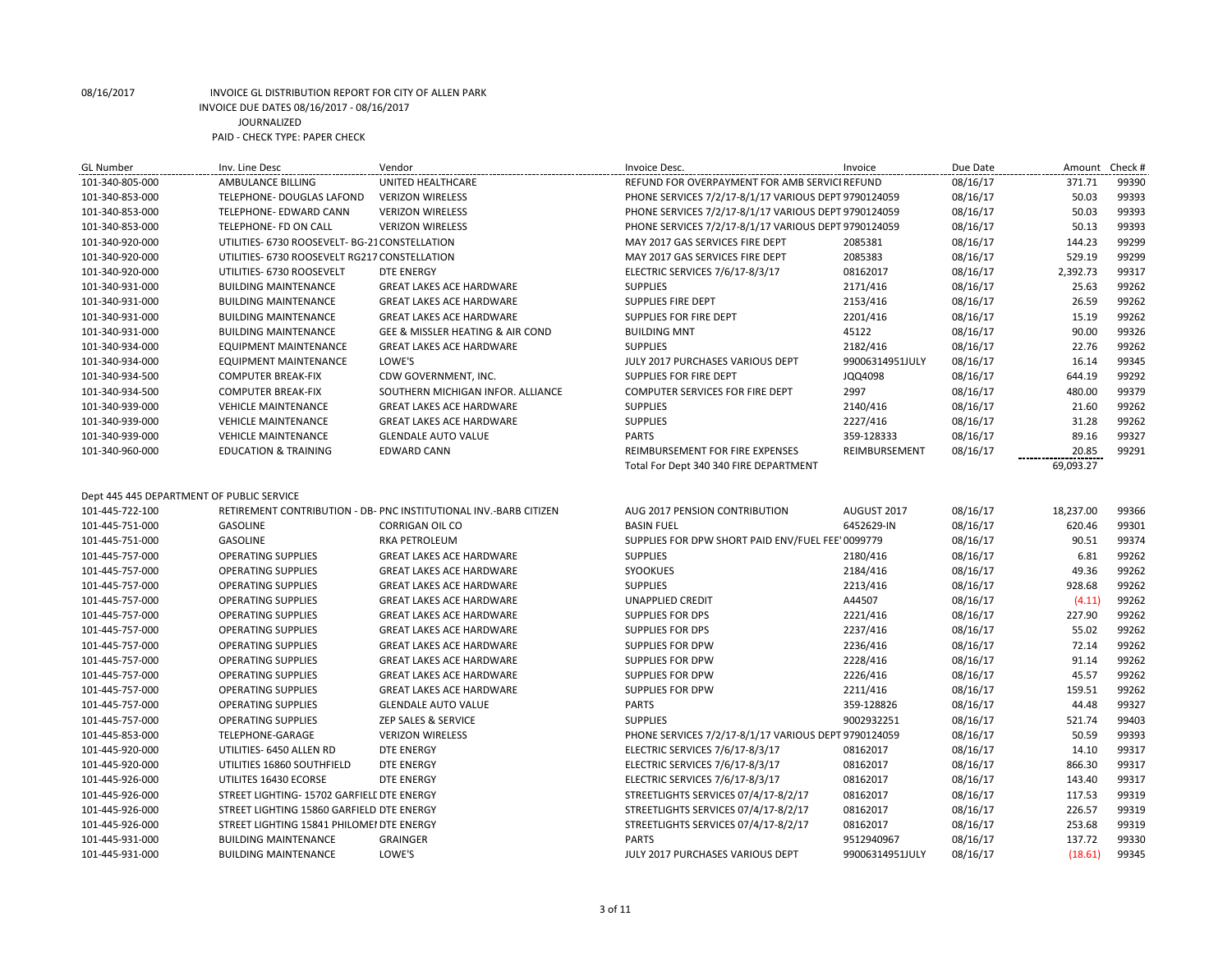| GL Number                                 | Inv. Line Desc                                 | Vendor                                                            | Invoice Desc.                                        | Invoice         | Due Date | Amount    | Check # |
|-------------------------------------------|------------------------------------------------|-------------------------------------------------------------------|------------------------------------------------------|-----------------|----------|-----------|---------|
| 101-340-805-000                           | AMBULANCE BILLING                              | UNITED HEALTHCARE                                                 | REFUND FOR OVERPAYMENT FOR AMB SERVICI REFUND        |                 | 08/16/17 | 371.71    | 99390   |
| 101-340-853-000                           | TELEPHONE- DOUGLAS LAFOND                      | <b>VERIZON WIRELESS</b>                                           | PHONE SERVICES 7/2/17-8/1/17 VARIOUS DEPT 9790124059 |                 | 08/16/17 | 50.03     | 99393   |
| 101-340-853-000                           | TELEPHONE- EDWARD CANN                         | <b>VERIZON WIRELESS</b>                                           | PHONE SERVICES 7/2/17-8/1/17 VARIOUS DEPT 9790124059 |                 | 08/16/17 | 50.03     | 99393   |
| 101-340-853-000                           | TELEPHONE- FD ON CALL                          | <b>VERIZON WIRELESS</b>                                           | PHONE SERVICES 7/2/17-8/1/17 VARIOUS DEPT 9790124059 |                 | 08/16/17 | 50.13     | 99393   |
| 101-340-920-000                           | UTILITIES- 6730 ROOSEVELT- BG-21 CONSTELLATION |                                                                   | MAY 2017 GAS SERVICES FIRE DEPT                      | 2085381         | 08/16/17 | 144.23    | 99299   |
| 101-340-920-000                           | UTILITIES- 6730 ROOSEVELT RG217 CONSTELLATION  |                                                                   | MAY 2017 GAS SERVICES FIRE DEPT                      | 2085383         | 08/16/17 | 529.19    | 99299   |
| 101-340-920-000                           | UTILITIES- 6730 ROOSEVELT                      | <b>DTE ENERGY</b>                                                 | ELECTRIC SERVICES 7/6/17-8/3/17                      | 08162017        | 08/16/17 | 2,392.73  | 99317   |
| 101-340-931-000                           | <b>BUILDING MAINTENANCE</b>                    | <b>GREAT LAKES ACE HARDWARE</b>                                   | <b>SUPPLIES</b>                                      | 2171/416        | 08/16/17 | 25.63     | 99262   |
| 101-340-931-000                           | <b>BUILDING MAINTENANCE</b>                    | <b>GREAT LAKES ACE HARDWARE</b>                                   | <b>SUPPLIES FIRE DEPT</b>                            | 2153/416        | 08/16/17 | 26.59     | 99262   |
| 101-340-931-000                           | <b>BUILDING MAINTENANCE</b>                    | <b>GREAT LAKES ACE HARDWARE</b>                                   | SUPPLIES FOR FIRE DEPT                               | 2201/416        | 08/16/17 | 15.19     | 99262   |
| 101-340-931-000                           | <b>BUILDING MAINTENANCE</b>                    | GEE & MISSLER HEATING & AIR COND                                  | <b>BUILDING MNT</b>                                  | 45122           | 08/16/17 | 90.00     | 99326   |
| 101-340-934-000                           | <b>EQUIPMENT MAINTENANCE</b>                   | <b>GREAT LAKES ACE HARDWARE</b>                                   | <b>SUPPLIES</b>                                      | 2182/416        | 08/16/17 | 22.76     | 99262   |
| 101-340-934-000                           | EQUIPMENT MAINTENANCE                          | LOWE'S                                                            | JULY 2017 PURCHASES VARIOUS DEPT                     | 99006314951JULY | 08/16/17 | 16.14     | 99345   |
| 101-340-934-500                           | <b>COMPUTER BREAK-FIX</b>                      | CDW GOVERNMENT, INC.                                              | SUPPLIES FOR FIRE DEPT                               | JQQ4098         | 08/16/17 | 644.19    | 99292   |
| 101-340-934-500                           | <b>COMPUTER BREAK-FIX</b>                      | SOUTHERN MICHIGAN INFOR. ALLIANCE                                 | COMPUTER SERVICES FOR FIRE DEPT                      | 2997            | 08/16/17 | 480.00    | 99379   |
| 101-340-939-000                           | <b>VEHICLE MAINTENANCE</b>                     | <b>GREAT LAKES ACE HARDWARE</b>                                   | <b>SUPPLIES</b>                                      | 2140/416        | 08/16/17 | 21.60     | 99262   |
| 101-340-939-000                           | <b>VEHICLE MAINTENANCE</b>                     | <b>GREAT LAKES ACE HARDWARE</b>                                   | <b>SUPPLIES</b>                                      | 2227/416        | 08/16/17 | 31.28     | 99262   |
| 101-340-939-000                           | <b>VEHICLE MAINTENANCE</b>                     | <b>GLENDALE AUTO VALUE</b>                                        | <b>PARTS</b>                                         | 359-128333      | 08/16/17 | 89.16     | 99327   |
| 101-340-960-000                           | <b>EDUCATION &amp; TRAINING</b>                | <b>EDWARD CANN</b>                                                | REIMBURSEMENT FOR FIRE EXPENSES                      | REIMBURSEMENT   | 08/16/17 | 20.85     | 99291   |
|                                           |                                                |                                                                   | Total For Dept 340 340 FIRE DEPARTMENT               |                 |          | 69,093.27 |         |
|                                           |                                                |                                                                   |                                                      |                 |          |           |         |
| Dept 445 445 DEPARTMENT OF PUBLIC SERVICE |                                                |                                                                   |                                                      |                 |          |           |         |
| 101-445-722-100                           |                                                | RETIREMENT CONTRIBUTION - DB- PNC INSTITUTIONAL INV.-BARB CITIZEN | AUG 2017 PENSION CONTRIBUTION                        | AUGUST 2017     | 08/16/17 | 18,237.00 | 99366   |
| 101-445-751-000                           | <b>GASOLINE</b>                                | <b>CORRIGAN OIL CO</b>                                            | <b>BASIN FUEL</b>                                    | 6452629-IN      | 08/16/17 | 620.46    | 99301   |
| 101-445-751-000                           | <b>GASOLINE</b>                                | RKA PETROLEUM                                                     | SUPPLIES FOR DPW SHORT PAID ENV/FUEL FEE' 0099779    |                 | 08/16/17 | 90.51     | 99374   |
| 101-445-757-000                           | <b>OPERATING SUPPLIES</b>                      | <b>GREAT LAKES ACE HARDWARE</b>                                   | <b>SUPPLIES</b>                                      | 2180/416        | 08/16/17 | 6.81      | 99262   |
| 101-445-757-000                           | <b>OPERATING SUPPLIES</b>                      | <b>GREAT LAKES ACE HARDWARE</b>                                   | SYOOKUES                                             | 2184/416        | 08/16/17 | 49.36     | 99262   |
| 101-445-757-000                           | <b>OPERATING SUPPLIES</b>                      | <b>GREAT LAKES ACE HARDWARE</b>                                   | <b>SUPPLIES</b>                                      | 2213/416        | 08/16/17 | 928.68    | 99262   |
| 101-445-757-000                           | <b>OPERATING SUPPLIES</b>                      | <b>GREAT LAKES ACE HARDWARE</b>                                   | <b>UNAPPLIED CREDIT</b>                              | A44507          | 08/16/17 | (4.11)    | 99262   |
| 101-445-757-000                           | <b>OPERATING SUPPLIES</b>                      | <b>GREAT LAKES ACE HARDWARE</b>                                   | <b>SUPPLIES FOR DPS</b>                              | 2221/416        | 08/16/17 | 227.90    | 99262   |
| 101-445-757-000                           | <b>OPERATING SUPPLIES</b>                      | <b>GREAT LAKES ACE HARDWARE</b>                                   | <b>SUPPLIES FOR DPS</b>                              | 2237/416        | 08/16/17 | 55.02     | 99262   |
| 101-445-757-000                           | <b>OPERATING SUPPLIES</b>                      | <b>GREAT LAKES ACE HARDWARE</b>                                   | <b>SUPPLIES FOR DPW</b>                              | 2236/416        | 08/16/17 | 72.14     | 99262   |
| 101-445-757-000                           | <b>OPERATING SUPPLIES</b>                      | <b>GREAT LAKES ACE HARDWARE</b>                                   | SUPPLIES FOR DPW                                     | 2228/416        | 08/16/17 | 91.14     | 99262   |
| 101-445-757-000                           | <b>OPERATING SUPPLIES</b>                      | <b>GREAT LAKES ACE HARDWARE</b>                                   | <b>SUPPLIES FOR DPW</b>                              | 2226/416        | 08/16/17 | 45.57     | 99262   |
| 101-445-757-000                           | <b>OPERATING SUPPLIES</b>                      | <b>GREAT LAKES ACE HARDWARE</b>                                   | <b>SUPPLIES FOR DPW</b>                              | 2211/416        | 08/16/17 | 159.51    | 99262   |
| 101-445-757-000                           | <b>OPERATING SUPPLIES</b>                      | <b>GLENDALE AUTO VALUE</b>                                        | <b>PARTS</b>                                         | 359-128826      | 08/16/17 | 44.48     | 99327   |
| 101-445-757-000                           | <b>OPERATING SUPPLIES</b>                      | ZEP SALES & SERVICE                                               | <b>SUPPLIES</b>                                      | 9002932251      | 08/16/17 | 521.74    | 99403   |
| 101-445-853-000                           | TELEPHONE-GARAGE                               | <b>VERIZON WIRELESS</b>                                           | PHONE SERVICES 7/2/17-8/1/17 VARIOUS DEPT 9790124059 |                 | 08/16/17 | 50.59     | 99393   |
| 101-445-920-000                           | UTILITIES- 6450 ALLEN RD                       | <b>DTE ENERGY</b>                                                 | ELECTRIC SERVICES 7/6/17-8/3/17                      | 08162017        | 08/16/17 | 14.10     | 99317   |
| 101-445-920-000                           | UTILITIES 16860 SOUTHFIELD                     | <b>DTE ENERGY</b>                                                 | ELECTRIC SERVICES 7/6/17-8/3/17                      | 08162017        | 08/16/17 | 866.30    | 99317   |
| 101-445-926-000                           | UTILITES 16430 ECORSE                          | <b>DTE ENERGY</b>                                                 | ELECTRIC SERVICES 7/6/17-8/3/17                      | 08162017        | 08/16/17 | 143.40    | 99317   |
| 101-445-926-000                           | STREET LIGHTING- 15702 GARFIELL DTE ENERGY     |                                                                   | STREETLIGHTS SERVICES 07/4/17-8/2/17                 | 08162017        | 08/16/17 | 117.53    | 99319   |
| 101-445-926-000                           | STREET LIGHTING 15860 GARFIELD DTE ENERGY      |                                                                   | STREETLIGHTS SERVICES 07/4/17-8/2/17                 | 08162017        | 08/16/17 | 226.57    | 99319   |
| 101-445-926-000                           | STREET LIGHTING 15841 PHILOMEI DTE ENERGY      |                                                                   | STREETLIGHTS SERVICES 07/4/17-8/2/17                 | 08162017        | 08/16/17 | 253.68    | 99319   |
| 101-445-931-000                           | <b>BUILDING MAINTENANCE</b>                    | <b>GRAINGER</b>                                                   | <b>PARTS</b>                                         | 9512940967      | 08/16/17 | 137.72    | 99330   |
| 101-445-931-000                           | <b>BUILDING MAINTENANCE</b>                    | LOWE'S                                                            | JULY 2017 PURCHASES VARIOUS DEPT                     | 99006314951JULY | 08/16/17 | (18.61)   | 99345   |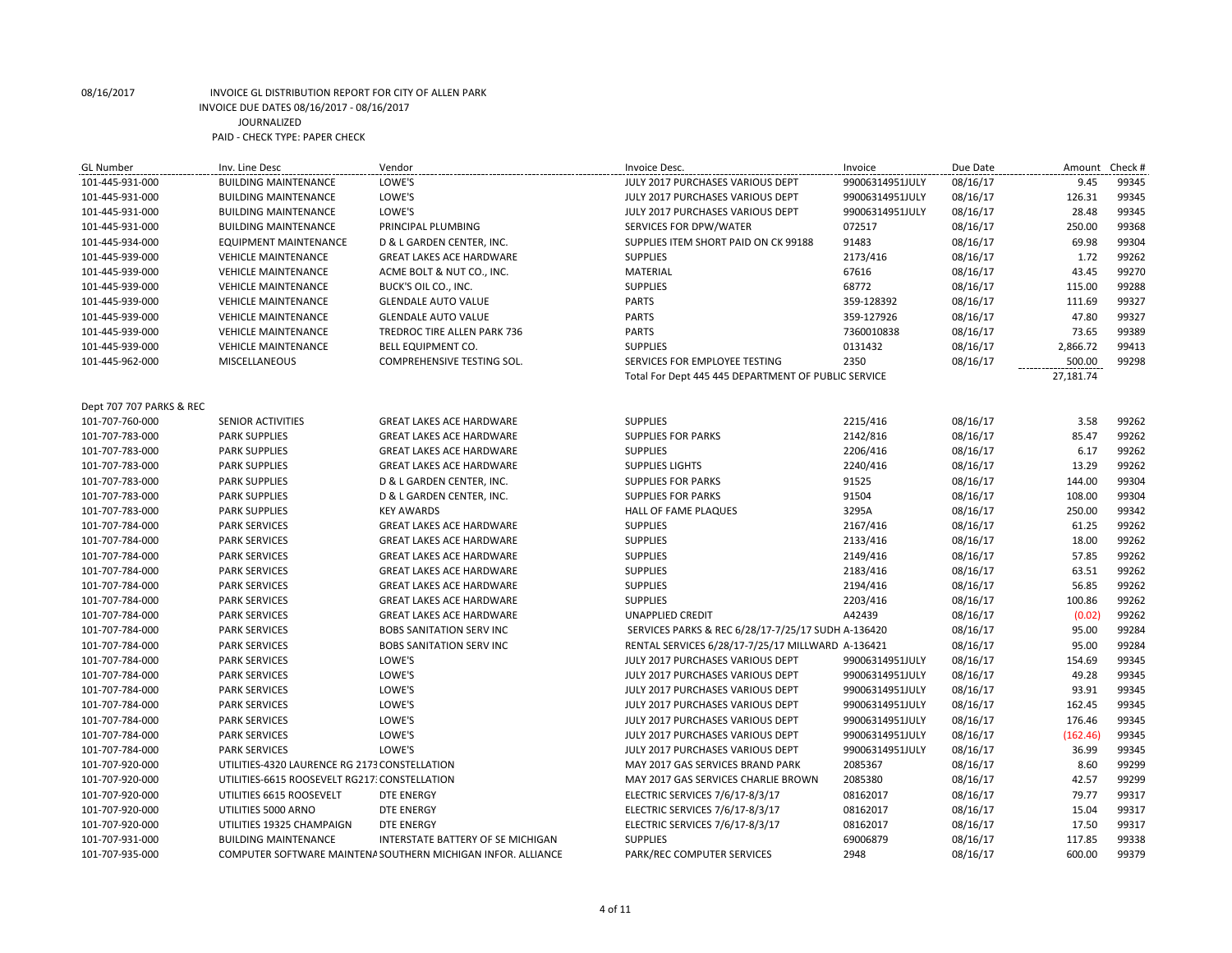| <b>BUILDING MAINTENANCE</b><br>LOWE'S<br>99006314951JULY<br>9.45<br>99345<br>101-445-931-000<br>JULY 2017 PURCHASES VARIOUS DEPT<br>08/16/17<br>LOWE'S<br>08/16/17<br>126.31<br>99345<br>101-445-931-000<br><b>BUILDING MAINTENANCE</b><br>JULY 2017 PURCHASES VARIOUS DEPT<br>99006314951JULY<br>LOWE'S<br>28.48<br>99345<br>101-445-931-000<br><b>BUILDING MAINTENANCE</b><br>JULY 2017 PURCHASES VARIOUS DEPT<br>99006314951JULY<br>08/16/17<br>072517<br>250.00<br>99368<br>101-445-931-000<br><b>BUILDING MAINTENANCE</b><br>PRINCIPAL PLUMBING<br>SERVICES FOR DPW/WATER<br>08/16/17<br>91483<br>08/16/17<br>69.98<br>99304<br>101-445-934-000<br><b>EQUIPMENT MAINTENANCE</b><br>D & L GARDEN CENTER, INC.<br>SUPPLIES ITEM SHORT PAID ON CK 99188<br>99262<br>1.72<br>101-445-939-000<br><b>VEHICLE MAINTENANCE</b><br><b>GREAT LAKES ACE HARDWARE</b><br><b>SUPPLIES</b><br>2173/416<br>08/16/17<br>99270<br>43.45<br>101-445-939-000<br><b>VEHICLE MAINTENANCE</b><br>ACME BOLT & NUT CO., INC.<br>MATERIAL<br>67616<br>08/16/17<br>99288<br>101-445-939-000<br><b>SUPPLIES</b><br>68772<br>08/16/17<br>115.00<br><b>VEHICLE MAINTENANCE</b><br>BUCK'S OIL CO., INC.<br><b>PARTS</b><br>111.69<br>99327<br>101-445-939-000<br><b>VEHICLE MAINTENANCE</b><br>359-128392<br>08/16/17<br><b>GLENDALE AUTO VALUE</b><br>47.80<br>99327<br>101-445-939-000<br><b>PARTS</b><br>359-127926<br>08/16/17<br><b>VEHICLE MAINTENANCE</b><br><b>GLENDALE AUTO VALUE</b><br><b>PARTS</b><br>99389<br>101-445-939-000<br><b>VEHICLE MAINTENANCE</b><br>7360010838<br>08/16/17<br>73.65<br>TREDROC TIRE ALLEN PARK 736<br>2,866.72<br>99413<br>101-445-939-000<br><b>SUPPLIES</b><br>0131432<br>08/16/17<br><b>VEHICLE MAINTENANCE</b><br><b>BELL EQUIPMENT CO.</b><br>2350<br>500.00<br>99298<br>101-445-962-000<br><b>MISCELLANEOUS</b><br>COMPREHENSIVE TESTING SOL.<br>SERVICES FOR EMPLOYEE TESTING<br>08/16/17<br>27,181.74<br>Total For Dept 445 445 DEPARTMENT OF PUBLIC SERVICE<br>Dept 707 707 PARKS & REC<br>101-707-760-000<br><b>SUPPLIES</b><br>2215/416<br>08/16/17<br>3.58<br>99262<br><b>SENIOR ACTIVITIES</b><br><b>GREAT LAKES ACE HARDWARE</b><br>99262<br>101-707-783-000<br><b>PARK SUPPLIES</b><br><b>GREAT LAKES ACE HARDWARE</b><br><b>SUPPLIES FOR PARKS</b><br>2142/816<br>08/16/17<br>85.47<br><b>SUPPLIES</b><br>2206/416<br>08/16/17<br>6.17<br>99262<br>101-707-783-000<br><b>PARK SUPPLIES</b><br><b>GREAT LAKES ACE HARDWARE</b><br>13.29<br>99262<br>101-707-783-000<br><b>PARK SUPPLIES</b><br><b>GREAT LAKES ACE HARDWARE</b><br><b>SUPPLIES LIGHTS</b><br>2240/416<br>08/16/17<br>99304<br>08/16/17<br>144.00<br>101-707-783-000<br><b>PARK SUPPLIES</b><br>D & L GARDEN CENTER, INC.<br><b>SUPPLIES FOR PARKS</b><br>91525<br><b>PARK SUPPLIES</b><br><b>SUPPLIES FOR PARKS</b><br>91504<br>08/16/17<br>108.00<br>99304<br>101-707-783-000<br>D & L GARDEN CENTER, INC.<br>99342<br>3295A<br>08/16/17<br>250.00<br>101-707-783-000<br><b>PARK SUPPLIES</b><br><b>KEY AWARDS</b><br>HALL OF FAME PLAQUES<br>99262<br>101-707-784-000<br><b>PARK SERVICES</b><br><b>GREAT LAKES ACE HARDWARE</b><br><b>SUPPLIES</b><br>2167/416<br>08/16/17<br>61.25<br>18.00<br>99262<br>101-707-784-000<br><b>PARK SERVICES</b><br><b>SUPPLIES</b><br>2133/416<br>08/16/17<br><b>GREAT LAKES ACE HARDWARE</b><br>57.85<br>99262<br>101-707-784-000<br><b>PARK SERVICES</b><br><b>GREAT LAKES ACE HARDWARE</b><br><b>SUPPLIES</b><br>2149/416<br>08/16/17<br><b>SUPPLIES</b><br>2183/416<br>63.51<br>99262<br>101-707-784-000<br><b>PARK SERVICES</b><br><b>GREAT LAKES ACE HARDWARE</b><br>08/16/17<br>56.85<br>99262<br><b>PARK SERVICES</b><br><b>SUPPLIES</b><br>2194/416<br>08/16/17<br>101-707-784-000<br><b>GREAT LAKES ACE HARDWARE</b><br>2203/416<br>100.86<br>99262<br>101-707-784-000<br><b>PARK SERVICES</b><br><b>GREAT LAKES ACE HARDWARE</b><br><b>SUPPLIES</b><br>08/16/17<br>99262<br>UNAPPLIED CREDIT<br>A42439<br>08/16/17<br>(0.02)<br>101-707-784-000<br><b>PARK SERVICES</b><br><b>GREAT LAKES ACE HARDWARE</b><br>99284<br>08/16/17<br>95.00<br>101-707-784-000<br><b>PARK SERVICES</b><br><b>BOBS SANITATION SERV INC</b><br>SERVICES PARKS & REC 6/28/17-7/25/17 SUDH A-136420<br>99284<br>101-707-784-000<br><b>PARK SERVICES</b><br><b>BOBS SANITATION SERV INC</b><br>RENTAL SERVICES 6/28/17-7/25/17 MILLWARD A-136421<br>08/16/17<br>95.00<br>99345<br><b>PARK SERVICES</b><br>LOWE'S<br>08/16/17<br>154.69<br>101-707-784-000<br>JULY 2017 PURCHASES VARIOUS DEPT<br>99006314951JULY<br>49.28<br>99345<br>101-707-784-000<br><b>PARK SERVICES</b><br>LOWE'S<br>JULY 2017 PURCHASES VARIOUS DEPT<br>99006314951JULY<br>08/16/17<br>93.91<br>99345<br>101-707-784-000<br><b>PARK SERVICES</b><br>LOWE'S<br>JULY 2017 PURCHASES VARIOUS DEPT<br>99006314951JULY<br>08/16/17<br>LOWE'S<br>08/16/17<br>162.45<br>99345<br>101-707-784-000<br><b>PARK SERVICES</b><br>JULY 2017 PURCHASES VARIOUS DEPT<br>99006314951JULY<br><b>PARK SERVICES</b><br>LOWE'S<br>99006314951JULY<br>08/16/17<br>176.46<br>99345<br>101-707-784-000<br>JULY 2017 PURCHASES VARIOUS DEPT<br><b>PARK SERVICES</b><br>LOWE'S<br>08/16/17<br>(162.46)<br>99345<br>101-707-784-000<br>JULY 2017 PURCHASES VARIOUS DEPT<br>99006314951JULY<br>LOWE'S<br>36.99<br>99345<br>101-707-784-000<br><b>PARK SERVICES</b><br>JULY 2017 PURCHASES VARIOUS DEPT<br>99006314951JULY<br>08/16/17<br>99299<br>UTILITIES-4320 LAURENCE RG 2173 CONSTELLATION<br>2085367<br>08/16/17<br>8.60<br>101-707-920-000<br>MAY 2017 GAS SERVICES BRAND PARK<br>2085380<br>42.57<br>99299<br>101-707-920-000<br>UTILITIES-6615 ROOSEVELT RG217: CONSTELLATION<br>MAY 2017 GAS SERVICES CHARLIE BROWN<br>08/16/17<br>79.77<br>99317<br>101-707-920-000<br>UTILITIES 6615 ROOSEVELT<br><b>DTE ENERGY</b><br>ELECTRIC SERVICES 7/6/17-8/3/17<br>08162017<br>08/16/17<br>15.04<br>99317<br>101-707-920-000<br>UTILITIES 5000 ARNO<br><b>DTE ENERGY</b><br>ELECTRIC SERVICES 7/6/17-8/3/17<br>08162017<br>08/16/17<br>17.50<br>99317<br>101-707-920-000<br>UTILITIES 19325 CHAMPAIGN<br><b>DTE ENERGY</b><br>ELECTRIC SERVICES 7/6/17-8/3/17<br>08162017<br>08/16/17<br>99338<br>101-707-931-000<br><b>BUILDING MAINTENANCE</b><br>INTERSTATE BATTERY OF SE MICHIGAN<br><b>SUPPLIES</b><br>69006879<br>08/16/17<br>117.85<br>99379<br>101-707-935-000<br>PARK/REC COMPUTER SERVICES<br>2948<br>08/16/17<br>600.00<br>COMPUTER SOFTWARE MAINTENA SOUTHERN MICHIGAN INFOR. ALLIANCE | <b>GL Number</b> | Inv. Line Desc | Vendor | Invoice Desc. | Invoice | Due Date | Amount | Check # |
|-----------------------------------------------------------------------------------------------------------------------------------------------------------------------------------------------------------------------------------------------------------------------------------------------------------------------------------------------------------------------------------------------------------------------------------------------------------------------------------------------------------------------------------------------------------------------------------------------------------------------------------------------------------------------------------------------------------------------------------------------------------------------------------------------------------------------------------------------------------------------------------------------------------------------------------------------------------------------------------------------------------------------------------------------------------------------------------------------------------------------------------------------------------------------------------------------------------------------------------------------------------------------------------------------------------------------------------------------------------------------------------------------------------------------------------------------------------------------------------------------------------------------------------------------------------------------------------------------------------------------------------------------------------------------------------------------------------------------------------------------------------------------------------------------------------------------------------------------------------------------------------------------------------------------------------------------------------------------------------------------------------------------------------------------------------------------------------------------------------------------------------------------------------------------------------------------------------------------------------------------------------------------------------------------------------------------------------------------------------------------------------------------------------------------------------------------------------------------------------------------------------------------------------------------------------------------------------------------------------------------------------------------------------------------------------------------------------------------------------------------------------------------------------------------------------------------------------------------------------------------------------------------------------------------------------------------------------------------------------------------------------------------------------------------------------------------------------------------------------------------------------------------------------------------------------------------------------------------------------------------------------------------------------------------------------------------------------------------------------------------------------------------------------------------------------------------------------------------------------------------------------------------------------------------------------------------------------------------------------------------------------------------------------------------------------------------------------------------------------------------------------------------------------------------------------------------------------------------------------------------------------------------------------------------------------------------------------------------------------------------------------------------------------------------------------------------------------------------------------------------------------------------------------------------------------------------------------------------------------------------------------------------------------------------------------------------------------------------------------------------------------------------------------------------------------------------------------------------------------------------------------------------------------------------------------------------------------------------------------------------------------------------------------------------------------------------------------------------------------------------------------------------------------------------------------------------------------------------------------------------------------------------------------------------------------------------------------------------------------------------------------------------------------------------------------------------------------------------------------------------------------------------------------------------------------------------------------------------------------------------------------------------------------------------------------------------------------------------------------------------------------------------------------------------------------------------------------------------------------------------------------------------------------------------------------------------------------------------------------------------------------------------------------------------------------------------------------------------------------------------------------------------------------------------------------------------------------------------------------------------------------------------------------------------------------------------------------------------------------------------------------------------------------------------------------------------------------------------------------------------------------------------------------------------------------------------------------------------------------------------------------------------------------------------------------------------------------------------------------------------------------------------------------------------------------------------------------------------|------------------|----------------|--------|---------------|---------|----------|--------|---------|
|                                                                                                                                                                                                                                                                                                                                                                                                                                                                                                                                                                                                                                                                                                                                                                                                                                                                                                                                                                                                                                                                                                                                                                                                                                                                                                                                                                                                                                                                                                                                                                                                                                                                                                                                                                                                                                                                                                                                                                                                                                                                                                                                                                                                                                                                                                                                                                                                                                                                                                                                                                                                                                                                                                                                                                                                                                                                                                                                                                                                                                                                                                                                                                                                                                                                                                                                                                                                                                                                                                                                                                                                                                                                                                                                                                                                                                                                                                                                                                                                                                                                                                                                                                                                                                                                                                                                                                                                                                                                                                                                                                                                                                                                                                                                                                                                                                                                                                                                                                                                                                                                                                                                                                                                                                                                                                                                                                                                                                                                                                                                                                                                                                                                                                                                                                                                                                                                                                                                                                                                                                                                                                                                                                                                                                                                                                                                                                                                                                                                       |                  |                |        |               |         |          |        |         |
|                                                                                                                                                                                                                                                                                                                                                                                                                                                                                                                                                                                                                                                                                                                                                                                                                                                                                                                                                                                                                                                                                                                                                                                                                                                                                                                                                                                                                                                                                                                                                                                                                                                                                                                                                                                                                                                                                                                                                                                                                                                                                                                                                                                                                                                                                                                                                                                                                                                                                                                                                                                                                                                                                                                                                                                                                                                                                                                                                                                                                                                                                                                                                                                                                                                                                                                                                                                                                                                                                                                                                                                                                                                                                                                                                                                                                                                                                                                                                                                                                                                                                                                                                                                                                                                                                                                                                                                                                                                                                                                                                                                                                                                                                                                                                                                                                                                                                                                                                                                                                                                                                                                                                                                                                                                                                                                                                                                                                                                                                                                                                                                                                                                                                                                                                                                                                                                                                                                                                                                                                                                                                                                                                                                                                                                                                                                                                                                                                                                                       |                  |                |        |               |         |          |        |         |
|                                                                                                                                                                                                                                                                                                                                                                                                                                                                                                                                                                                                                                                                                                                                                                                                                                                                                                                                                                                                                                                                                                                                                                                                                                                                                                                                                                                                                                                                                                                                                                                                                                                                                                                                                                                                                                                                                                                                                                                                                                                                                                                                                                                                                                                                                                                                                                                                                                                                                                                                                                                                                                                                                                                                                                                                                                                                                                                                                                                                                                                                                                                                                                                                                                                                                                                                                                                                                                                                                                                                                                                                                                                                                                                                                                                                                                                                                                                                                                                                                                                                                                                                                                                                                                                                                                                                                                                                                                                                                                                                                                                                                                                                                                                                                                                                                                                                                                                                                                                                                                                                                                                                                                                                                                                                                                                                                                                                                                                                                                                                                                                                                                                                                                                                                                                                                                                                                                                                                                                                                                                                                                                                                                                                                                                                                                                                                                                                                                                                       |                  |                |        |               |         |          |        |         |
|                                                                                                                                                                                                                                                                                                                                                                                                                                                                                                                                                                                                                                                                                                                                                                                                                                                                                                                                                                                                                                                                                                                                                                                                                                                                                                                                                                                                                                                                                                                                                                                                                                                                                                                                                                                                                                                                                                                                                                                                                                                                                                                                                                                                                                                                                                                                                                                                                                                                                                                                                                                                                                                                                                                                                                                                                                                                                                                                                                                                                                                                                                                                                                                                                                                                                                                                                                                                                                                                                                                                                                                                                                                                                                                                                                                                                                                                                                                                                                                                                                                                                                                                                                                                                                                                                                                                                                                                                                                                                                                                                                                                                                                                                                                                                                                                                                                                                                                                                                                                                                                                                                                                                                                                                                                                                                                                                                                                                                                                                                                                                                                                                                                                                                                                                                                                                                                                                                                                                                                                                                                                                                                                                                                                                                                                                                                                                                                                                                                                       |                  |                |        |               |         |          |        |         |
|                                                                                                                                                                                                                                                                                                                                                                                                                                                                                                                                                                                                                                                                                                                                                                                                                                                                                                                                                                                                                                                                                                                                                                                                                                                                                                                                                                                                                                                                                                                                                                                                                                                                                                                                                                                                                                                                                                                                                                                                                                                                                                                                                                                                                                                                                                                                                                                                                                                                                                                                                                                                                                                                                                                                                                                                                                                                                                                                                                                                                                                                                                                                                                                                                                                                                                                                                                                                                                                                                                                                                                                                                                                                                                                                                                                                                                                                                                                                                                                                                                                                                                                                                                                                                                                                                                                                                                                                                                                                                                                                                                                                                                                                                                                                                                                                                                                                                                                                                                                                                                                                                                                                                                                                                                                                                                                                                                                                                                                                                                                                                                                                                                                                                                                                                                                                                                                                                                                                                                                                                                                                                                                                                                                                                                                                                                                                                                                                                                                                       |                  |                |        |               |         |          |        |         |
|                                                                                                                                                                                                                                                                                                                                                                                                                                                                                                                                                                                                                                                                                                                                                                                                                                                                                                                                                                                                                                                                                                                                                                                                                                                                                                                                                                                                                                                                                                                                                                                                                                                                                                                                                                                                                                                                                                                                                                                                                                                                                                                                                                                                                                                                                                                                                                                                                                                                                                                                                                                                                                                                                                                                                                                                                                                                                                                                                                                                                                                                                                                                                                                                                                                                                                                                                                                                                                                                                                                                                                                                                                                                                                                                                                                                                                                                                                                                                                                                                                                                                                                                                                                                                                                                                                                                                                                                                                                                                                                                                                                                                                                                                                                                                                                                                                                                                                                                                                                                                                                                                                                                                                                                                                                                                                                                                                                                                                                                                                                                                                                                                                                                                                                                                                                                                                                                                                                                                                                                                                                                                                                                                                                                                                                                                                                                                                                                                                                                       |                  |                |        |               |         |          |        |         |
|                                                                                                                                                                                                                                                                                                                                                                                                                                                                                                                                                                                                                                                                                                                                                                                                                                                                                                                                                                                                                                                                                                                                                                                                                                                                                                                                                                                                                                                                                                                                                                                                                                                                                                                                                                                                                                                                                                                                                                                                                                                                                                                                                                                                                                                                                                                                                                                                                                                                                                                                                                                                                                                                                                                                                                                                                                                                                                                                                                                                                                                                                                                                                                                                                                                                                                                                                                                                                                                                                                                                                                                                                                                                                                                                                                                                                                                                                                                                                                                                                                                                                                                                                                                                                                                                                                                                                                                                                                                                                                                                                                                                                                                                                                                                                                                                                                                                                                                                                                                                                                                                                                                                                                                                                                                                                                                                                                                                                                                                                                                                                                                                                                                                                                                                                                                                                                                                                                                                                                                                                                                                                                                                                                                                                                                                                                                                                                                                                                                                       |                  |                |        |               |         |          |        |         |
|                                                                                                                                                                                                                                                                                                                                                                                                                                                                                                                                                                                                                                                                                                                                                                                                                                                                                                                                                                                                                                                                                                                                                                                                                                                                                                                                                                                                                                                                                                                                                                                                                                                                                                                                                                                                                                                                                                                                                                                                                                                                                                                                                                                                                                                                                                                                                                                                                                                                                                                                                                                                                                                                                                                                                                                                                                                                                                                                                                                                                                                                                                                                                                                                                                                                                                                                                                                                                                                                                                                                                                                                                                                                                                                                                                                                                                                                                                                                                                                                                                                                                                                                                                                                                                                                                                                                                                                                                                                                                                                                                                                                                                                                                                                                                                                                                                                                                                                                                                                                                                                                                                                                                                                                                                                                                                                                                                                                                                                                                                                                                                                                                                                                                                                                                                                                                                                                                                                                                                                                                                                                                                                                                                                                                                                                                                                                                                                                                                                                       |                  |                |        |               |         |          |        |         |
|                                                                                                                                                                                                                                                                                                                                                                                                                                                                                                                                                                                                                                                                                                                                                                                                                                                                                                                                                                                                                                                                                                                                                                                                                                                                                                                                                                                                                                                                                                                                                                                                                                                                                                                                                                                                                                                                                                                                                                                                                                                                                                                                                                                                                                                                                                                                                                                                                                                                                                                                                                                                                                                                                                                                                                                                                                                                                                                                                                                                                                                                                                                                                                                                                                                                                                                                                                                                                                                                                                                                                                                                                                                                                                                                                                                                                                                                                                                                                                                                                                                                                                                                                                                                                                                                                                                                                                                                                                                                                                                                                                                                                                                                                                                                                                                                                                                                                                                                                                                                                                                                                                                                                                                                                                                                                                                                                                                                                                                                                                                                                                                                                                                                                                                                                                                                                                                                                                                                                                                                                                                                                                                                                                                                                                                                                                                                                                                                                                                                       |                  |                |        |               |         |          |        |         |
|                                                                                                                                                                                                                                                                                                                                                                                                                                                                                                                                                                                                                                                                                                                                                                                                                                                                                                                                                                                                                                                                                                                                                                                                                                                                                                                                                                                                                                                                                                                                                                                                                                                                                                                                                                                                                                                                                                                                                                                                                                                                                                                                                                                                                                                                                                                                                                                                                                                                                                                                                                                                                                                                                                                                                                                                                                                                                                                                                                                                                                                                                                                                                                                                                                                                                                                                                                                                                                                                                                                                                                                                                                                                                                                                                                                                                                                                                                                                                                                                                                                                                                                                                                                                                                                                                                                                                                                                                                                                                                                                                                                                                                                                                                                                                                                                                                                                                                                                                                                                                                                                                                                                                                                                                                                                                                                                                                                                                                                                                                                                                                                                                                                                                                                                                                                                                                                                                                                                                                                                                                                                                                                                                                                                                                                                                                                                                                                                                                                                       |                  |                |        |               |         |          |        |         |
|                                                                                                                                                                                                                                                                                                                                                                                                                                                                                                                                                                                                                                                                                                                                                                                                                                                                                                                                                                                                                                                                                                                                                                                                                                                                                                                                                                                                                                                                                                                                                                                                                                                                                                                                                                                                                                                                                                                                                                                                                                                                                                                                                                                                                                                                                                                                                                                                                                                                                                                                                                                                                                                                                                                                                                                                                                                                                                                                                                                                                                                                                                                                                                                                                                                                                                                                                                                                                                                                                                                                                                                                                                                                                                                                                                                                                                                                                                                                                                                                                                                                                                                                                                                                                                                                                                                                                                                                                                                                                                                                                                                                                                                                                                                                                                                                                                                                                                                                                                                                                                                                                                                                                                                                                                                                                                                                                                                                                                                                                                                                                                                                                                                                                                                                                                                                                                                                                                                                                                                                                                                                                                                                                                                                                                                                                                                                                                                                                                                                       |                  |                |        |               |         |          |        |         |
|                                                                                                                                                                                                                                                                                                                                                                                                                                                                                                                                                                                                                                                                                                                                                                                                                                                                                                                                                                                                                                                                                                                                                                                                                                                                                                                                                                                                                                                                                                                                                                                                                                                                                                                                                                                                                                                                                                                                                                                                                                                                                                                                                                                                                                                                                                                                                                                                                                                                                                                                                                                                                                                                                                                                                                                                                                                                                                                                                                                                                                                                                                                                                                                                                                                                                                                                                                                                                                                                                                                                                                                                                                                                                                                                                                                                                                                                                                                                                                                                                                                                                                                                                                                                                                                                                                                                                                                                                                                                                                                                                                                                                                                                                                                                                                                                                                                                                                                                                                                                                                                                                                                                                                                                                                                                                                                                                                                                                                                                                                                                                                                                                                                                                                                                                                                                                                                                                                                                                                                                                                                                                                                                                                                                                                                                                                                                                                                                                                                                       |                  |                |        |               |         |          |        |         |
|                                                                                                                                                                                                                                                                                                                                                                                                                                                                                                                                                                                                                                                                                                                                                                                                                                                                                                                                                                                                                                                                                                                                                                                                                                                                                                                                                                                                                                                                                                                                                                                                                                                                                                                                                                                                                                                                                                                                                                                                                                                                                                                                                                                                                                                                                                                                                                                                                                                                                                                                                                                                                                                                                                                                                                                                                                                                                                                                                                                                                                                                                                                                                                                                                                                                                                                                                                                                                                                                                                                                                                                                                                                                                                                                                                                                                                                                                                                                                                                                                                                                                                                                                                                                                                                                                                                                                                                                                                                                                                                                                                                                                                                                                                                                                                                                                                                                                                                                                                                                                                                                                                                                                                                                                                                                                                                                                                                                                                                                                                                                                                                                                                                                                                                                                                                                                                                                                                                                                                                                                                                                                                                                                                                                                                                                                                                                                                                                                                                                       |                  |                |        |               |         |          |        |         |
|                                                                                                                                                                                                                                                                                                                                                                                                                                                                                                                                                                                                                                                                                                                                                                                                                                                                                                                                                                                                                                                                                                                                                                                                                                                                                                                                                                                                                                                                                                                                                                                                                                                                                                                                                                                                                                                                                                                                                                                                                                                                                                                                                                                                                                                                                                                                                                                                                                                                                                                                                                                                                                                                                                                                                                                                                                                                                                                                                                                                                                                                                                                                                                                                                                                                                                                                                                                                                                                                                                                                                                                                                                                                                                                                                                                                                                                                                                                                                                                                                                                                                                                                                                                                                                                                                                                                                                                                                                                                                                                                                                                                                                                                                                                                                                                                                                                                                                                                                                                                                                                                                                                                                                                                                                                                                                                                                                                                                                                                                                                                                                                                                                                                                                                                                                                                                                                                                                                                                                                                                                                                                                                                                                                                                                                                                                                                                                                                                                                                       |                  |                |        |               |         |          |        |         |
|                                                                                                                                                                                                                                                                                                                                                                                                                                                                                                                                                                                                                                                                                                                                                                                                                                                                                                                                                                                                                                                                                                                                                                                                                                                                                                                                                                                                                                                                                                                                                                                                                                                                                                                                                                                                                                                                                                                                                                                                                                                                                                                                                                                                                                                                                                                                                                                                                                                                                                                                                                                                                                                                                                                                                                                                                                                                                                                                                                                                                                                                                                                                                                                                                                                                                                                                                                                                                                                                                                                                                                                                                                                                                                                                                                                                                                                                                                                                                                                                                                                                                                                                                                                                                                                                                                                                                                                                                                                                                                                                                                                                                                                                                                                                                                                                                                                                                                                                                                                                                                                                                                                                                                                                                                                                                                                                                                                                                                                                                                                                                                                                                                                                                                                                                                                                                                                                                                                                                                                                                                                                                                                                                                                                                                                                                                                                                                                                                                                                       |                  |                |        |               |         |          |        |         |
|                                                                                                                                                                                                                                                                                                                                                                                                                                                                                                                                                                                                                                                                                                                                                                                                                                                                                                                                                                                                                                                                                                                                                                                                                                                                                                                                                                                                                                                                                                                                                                                                                                                                                                                                                                                                                                                                                                                                                                                                                                                                                                                                                                                                                                                                                                                                                                                                                                                                                                                                                                                                                                                                                                                                                                                                                                                                                                                                                                                                                                                                                                                                                                                                                                                                                                                                                                                                                                                                                                                                                                                                                                                                                                                                                                                                                                                                                                                                                                                                                                                                                                                                                                                                                                                                                                                                                                                                                                                                                                                                                                                                                                                                                                                                                                                                                                                                                                                                                                                                                                                                                                                                                                                                                                                                                                                                                                                                                                                                                                                                                                                                                                                                                                                                                                                                                                                                                                                                                                                                                                                                                                                                                                                                                                                                                                                                                                                                                                                                       |                  |                |        |               |         |          |        |         |
|                                                                                                                                                                                                                                                                                                                                                                                                                                                                                                                                                                                                                                                                                                                                                                                                                                                                                                                                                                                                                                                                                                                                                                                                                                                                                                                                                                                                                                                                                                                                                                                                                                                                                                                                                                                                                                                                                                                                                                                                                                                                                                                                                                                                                                                                                                                                                                                                                                                                                                                                                                                                                                                                                                                                                                                                                                                                                                                                                                                                                                                                                                                                                                                                                                                                                                                                                                                                                                                                                                                                                                                                                                                                                                                                                                                                                                                                                                                                                                                                                                                                                                                                                                                                                                                                                                                                                                                                                                                                                                                                                                                                                                                                                                                                                                                                                                                                                                                                                                                                                                                                                                                                                                                                                                                                                                                                                                                                                                                                                                                                                                                                                                                                                                                                                                                                                                                                                                                                                                                                                                                                                                                                                                                                                                                                                                                                                                                                                                                                       |                  |                |        |               |         |          |        |         |
|                                                                                                                                                                                                                                                                                                                                                                                                                                                                                                                                                                                                                                                                                                                                                                                                                                                                                                                                                                                                                                                                                                                                                                                                                                                                                                                                                                                                                                                                                                                                                                                                                                                                                                                                                                                                                                                                                                                                                                                                                                                                                                                                                                                                                                                                                                                                                                                                                                                                                                                                                                                                                                                                                                                                                                                                                                                                                                                                                                                                                                                                                                                                                                                                                                                                                                                                                                                                                                                                                                                                                                                                                                                                                                                                                                                                                                                                                                                                                                                                                                                                                                                                                                                                                                                                                                                                                                                                                                                                                                                                                                                                                                                                                                                                                                                                                                                                                                                                                                                                                                                                                                                                                                                                                                                                                                                                                                                                                                                                                                                                                                                                                                                                                                                                                                                                                                                                                                                                                                                                                                                                                                                                                                                                                                                                                                                                                                                                                                                                       |                  |                |        |               |         |          |        |         |
|                                                                                                                                                                                                                                                                                                                                                                                                                                                                                                                                                                                                                                                                                                                                                                                                                                                                                                                                                                                                                                                                                                                                                                                                                                                                                                                                                                                                                                                                                                                                                                                                                                                                                                                                                                                                                                                                                                                                                                                                                                                                                                                                                                                                                                                                                                                                                                                                                                                                                                                                                                                                                                                                                                                                                                                                                                                                                                                                                                                                                                                                                                                                                                                                                                                                                                                                                                                                                                                                                                                                                                                                                                                                                                                                                                                                                                                                                                                                                                                                                                                                                                                                                                                                                                                                                                                                                                                                                                                                                                                                                                                                                                                                                                                                                                                                                                                                                                                                                                                                                                                                                                                                                                                                                                                                                                                                                                                                                                                                                                                                                                                                                                                                                                                                                                                                                                                                                                                                                                                                                                                                                                                                                                                                                                                                                                                                                                                                                                                                       |                  |                |        |               |         |          |        |         |
|                                                                                                                                                                                                                                                                                                                                                                                                                                                                                                                                                                                                                                                                                                                                                                                                                                                                                                                                                                                                                                                                                                                                                                                                                                                                                                                                                                                                                                                                                                                                                                                                                                                                                                                                                                                                                                                                                                                                                                                                                                                                                                                                                                                                                                                                                                                                                                                                                                                                                                                                                                                                                                                                                                                                                                                                                                                                                                                                                                                                                                                                                                                                                                                                                                                                                                                                                                                                                                                                                                                                                                                                                                                                                                                                                                                                                                                                                                                                                                                                                                                                                                                                                                                                                                                                                                                                                                                                                                                                                                                                                                                                                                                                                                                                                                                                                                                                                                                                                                                                                                                                                                                                                                                                                                                                                                                                                                                                                                                                                                                                                                                                                                                                                                                                                                                                                                                                                                                                                                                                                                                                                                                                                                                                                                                                                                                                                                                                                                                                       |                  |                |        |               |         |          |        |         |
|                                                                                                                                                                                                                                                                                                                                                                                                                                                                                                                                                                                                                                                                                                                                                                                                                                                                                                                                                                                                                                                                                                                                                                                                                                                                                                                                                                                                                                                                                                                                                                                                                                                                                                                                                                                                                                                                                                                                                                                                                                                                                                                                                                                                                                                                                                                                                                                                                                                                                                                                                                                                                                                                                                                                                                                                                                                                                                                                                                                                                                                                                                                                                                                                                                                                                                                                                                                                                                                                                                                                                                                                                                                                                                                                                                                                                                                                                                                                                                                                                                                                                                                                                                                                                                                                                                                                                                                                                                                                                                                                                                                                                                                                                                                                                                                                                                                                                                                                                                                                                                                                                                                                                                                                                                                                                                                                                                                                                                                                                                                                                                                                                                                                                                                                                                                                                                                                                                                                                                                                                                                                                                                                                                                                                                                                                                                                                                                                                                                                       |                  |                |        |               |         |          |        |         |
|                                                                                                                                                                                                                                                                                                                                                                                                                                                                                                                                                                                                                                                                                                                                                                                                                                                                                                                                                                                                                                                                                                                                                                                                                                                                                                                                                                                                                                                                                                                                                                                                                                                                                                                                                                                                                                                                                                                                                                                                                                                                                                                                                                                                                                                                                                                                                                                                                                                                                                                                                                                                                                                                                                                                                                                                                                                                                                                                                                                                                                                                                                                                                                                                                                                                                                                                                                                                                                                                                                                                                                                                                                                                                                                                                                                                                                                                                                                                                                                                                                                                                                                                                                                                                                                                                                                                                                                                                                                                                                                                                                                                                                                                                                                                                                                                                                                                                                                                                                                                                                                                                                                                                                                                                                                                                                                                                                                                                                                                                                                                                                                                                                                                                                                                                                                                                                                                                                                                                                                                                                                                                                                                                                                                                                                                                                                                                                                                                                                                       |                  |                |        |               |         |          |        |         |
|                                                                                                                                                                                                                                                                                                                                                                                                                                                                                                                                                                                                                                                                                                                                                                                                                                                                                                                                                                                                                                                                                                                                                                                                                                                                                                                                                                                                                                                                                                                                                                                                                                                                                                                                                                                                                                                                                                                                                                                                                                                                                                                                                                                                                                                                                                                                                                                                                                                                                                                                                                                                                                                                                                                                                                                                                                                                                                                                                                                                                                                                                                                                                                                                                                                                                                                                                                                                                                                                                                                                                                                                                                                                                                                                                                                                                                                                                                                                                                                                                                                                                                                                                                                                                                                                                                                                                                                                                                                                                                                                                                                                                                                                                                                                                                                                                                                                                                                                                                                                                                                                                                                                                                                                                                                                                                                                                                                                                                                                                                                                                                                                                                                                                                                                                                                                                                                                                                                                                                                                                                                                                                                                                                                                                                                                                                                                                                                                                                                                       |                  |                |        |               |         |          |        |         |
|                                                                                                                                                                                                                                                                                                                                                                                                                                                                                                                                                                                                                                                                                                                                                                                                                                                                                                                                                                                                                                                                                                                                                                                                                                                                                                                                                                                                                                                                                                                                                                                                                                                                                                                                                                                                                                                                                                                                                                                                                                                                                                                                                                                                                                                                                                                                                                                                                                                                                                                                                                                                                                                                                                                                                                                                                                                                                                                                                                                                                                                                                                                                                                                                                                                                                                                                                                                                                                                                                                                                                                                                                                                                                                                                                                                                                                                                                                                                                                                                                                                                                                                                                                                                                                                                                                                                                                                                                                                                                                                                                                                                                                                                                                                                                                                                                                                                                                                                                                                                                                                                                                                                                                                                                                                                                                                                                                                                                                                                                                                                                                                                                                                                                                                                                                                                                                                                                                                                                                                                                                                                                                                                                                                                                                                                                                                                                                                                                                                                       |                  |                |        |               |         |          |        |         |
|                                                                                                                                                                                                                                                                                                                                                                                                                                                                                                                                                                                                                                                                                                                                                                                                                                                                                                                                                                                                                                                                                                                                                                                                                                                                                                                                                                                                                                                                                                                                                                                                                                                                                                                                                                                                                                                                                                                                                                                                                                                                                                                                                                                                                                                                                                                                                                                                                                                                                                                                                                                                                                                                                                                                                                                                                                                                                                                                                                                                                                                                                                                                                                                                                                                                                                                                                                                                                                                                                                                                                                                                                                                                                                                                                                                                                                                                                                                                                                                                                                                                                                                                                                                                                                                                                                                                                                                                                                                                                                                                                                                                                                                                                                                                                                                                                                                                                                                                                                                                                                                                                                                                                                                                                                                                                                                                                                                                                                                                                                                                                                                                                                                                                                                                                                                                                                                                                                                                                                                                                                                                                                                                                                                                                                                                                                                                                                                                                                                                       |                  |                |        |               |         |          |        |         |
|                                                                                                                                                                                                                                                                                                                                                                                                                                                                                                                                                                                                                                                                                                                                                                                                                                                                                                                                                                                                                                                                                                                                                                                                                                                                                                                                                                                                                                                                                                                                                                                                                                                                                                                                                                                                                                                                                                                                                                                                                                                                                                                                                                                                                                                                                                                                                                                                                                                                                                                                                                                                                                                                                                                                                                                                                                                                                                                                                                                                                                                                                                                                                                                                                                                                                                                                                                                                                                                                                                                                                                                                                                                                                                                                                                                                                                                                                                                                                                                                                                                                                                                                                                                                                                                                                                                                                                                                                                                                                                                                                                                                                                                                                                                                                                                                                                                                                                                                                                                                                                                                                                                                                                                                                                                                                                                                                                                                                                                                                                                                                                                                                                                                                                                                                                                                                                                                                                                                                                                                                                                                                                                                                                                                                                                                                                                                                                                                                                                                       |                  |                |        |               |         |          |        |         |
|                                                                                                                                                                                                                                                                                                                                                                                                                                                                                                                                                                                                                                                                                                                                                                                                                                                                                                                                                                                                                                                                                                                                                                                                                                                                                                                                                                                                                                                                                                                                                                                                                                                                                                                                                                                                                                                                                                                                                                                                                                                                                                                                                                                                                                                                                                                                                                                                                                                                                                                                                                                                                                                                                                                                                                                                                                                                                                                                                                                                                                                                                                                                                                                                                                                                                                                                                                                                                                                                                                                                                                                                                                                                                                                                                                                                                                                                                                                                                                                                                                                                                                                                                                                                                                                                                                                                                                                                                                                                                                                                                                                                                                                                                                                                                                                                                                                                                                                                                                                                                                                                                                                                                                                                                                                                                                                                                                                                                                                                                                                                                                                                                                                                                                                                                                                                                                                                                                                                                                                                                                                                                                                                                                                                                                                                                                                                                                                                                                                                       |                  |                |        |               |         |          |        |         |
|                                                                                                                                                                                                                                                                                                                                                                                                                                                                                                                                                                                                                                                                                                                                                                                                                                                                                                                                                                                                                                                                                                                                                                                                                                                                                                                                                                                                                                                                                                                                                                                                                                                                                                                                                                                                                                                                                                                                                                                                                                                                                                                                                                                                                                                                                                                                                                                                                                                                                                                                                                                                                                                                                                                                                                                                                                                                                                                                                                                                                                                                                                                                                                                                                                                                                                                                                                                                                                                                                                                                                                                                                                                                                                                                                                                                                                                                                                                                                                                                                                                                                                                                                                                                                                                                                                                                                                                                                                                                                                                                                                                                                                                                                                                                                                                                                                                                                                                                                                                                                                                                                                                                                                                                                                                                                                                                                                                                                                                                                                                                                                                                                                                                                                                                                                                                                                                                                                                                                                                                                                                                                                                                                                                                                                                                                                                                                                                                                                                                       |                  |                |        |               |         |          |        |         |
|                                                                                                                                                                                                                                                                                                                                                                                                                                                                                                                                                                                                                                                                                                                                                                                                                                                                                                                                                                                                                                                                                                                                                                                                                                                                                                                                                                                                                                                                                                                                                                                                                                                                                                                                                                                                                                                                                                                                                                                                                                                                                                                                                                                                                                                                                                                                                                                                                                                                                                                                                                                                                                                                                                                                                                                                                                                                                                                                                                                                                                                                                                                                                                                                                                                                                                                                                                                                                                                                                                                                                                                                                                                                                                                                                                                                                                                                                                                                                                                                                                                                                                                                                                                                                                                                                                                                                                                                                                                                                                                                                                                                                                                                                                                                                                                                                                                                                                                                                                                                                                                                                                                                                                                                                                                                                                                                                                                                                                                                                                                                                                                                                                                                                                                                                                                                                                                                                                                                                                                                                                                                                                                                                                                                                                                                                                                                                                                                                                                                       |                  |                |        |               |         |          |        |         |
|                                                                                                                                                                                                                                                                                                                                                                                                                                                                                                                                                                                                                                                                                                                                                                                                                                                                                                                                                                                                                                                                                                                                                                                                                                                                                                                                                                                                                                                                                                                                                                                                                                                                                                                                                                                                                                                                                                                                                                                                                                                                                                                                                                                                                                                                                                                                                                                                                                                                                                                                                                                                                                                                                                                                                                                                                                                                                                                                                                                                                                                                                                                                                                                                                                                                                                                                                                                                                                                                                                                                                                                                                                                                                                                                                                                                                                                                                                                                                                                                                                                                                                                                                                                                                                                                                                                                                                                                                                                                                                                                                                                                                                                                                                                                                                                                                                                                                                                                                                                                                                                                                                                                                                                                                                                                                                                                                                                                                                                                                                                                                                                                                                                                                                                                                                                                                                                                                                                                                                                                                                                                                                                                                                                                                                                                                                                                                                                                                                                                       |                  |                |        |               |         |          |        |         |
|                                                                                                                                                                                                                                                                                                                                                                                                                                                                                                                                                                                                                                                                                                                                                                                                                                                                                                                                                                                                                                                                                                                                                                                                                                                                                                                                                                                                                                                                                                                                                                                                                                                                                                                                                                                                                                                                                                                                                                                                                                                                                                                                                                                                                                                                                                                                                                                                                                                                                                                                                                                                                                                                                                                                                                                                                                                                                                                                                                                                                                                                                                                                                                                                                                                                                                                                                                                                                                                                                                                                                                                                                                                                                                                                                                                                                                                                                                                                                                                                                                                                                                                                                                                                                                                                                                                                                                                                                                                                                                                                                                                                                                                                                                                                                                                                                                                                                                                                                                                                                                                                                                                                                                                                                                                                                                                                                                                                                                                                                                                                                                                                                                                                                                                                                                                                                                                                                                                                                                                                                                                                                                                                                                                                                                                                                                                                                                                                                                                                       |                  |                |        |               |         |          |        |         |
|                                                                                                                                                                                                                                                                                                                                                                                                                                                                                                                                                                                                                                                                                                                                                                                                                                                                                                                                                                                                                                                                                                                                                                                                                                                                                                                                                                                                                                                                                                                                                                                                                                                                                                                                                                                                                                                                                                                                                                                                                                                                                                                                                                                                                                                                                                                                                                                                                                                                                                                                                                                                                                                                                                                                                                                                                                                                                                                                                                                                                                                                                                                                                                                                                                                                                                                                                                                                                                                                                                                                                                                                                                                                                                                                                                                                                                                                                                                                                                                                                                                                                                                                                                                                                                                                                                                                                                                                                                                                                                                                                                                                                                                                                                                                                                                                                                                                                                                                                                                                                                                                                                                                                                                                                                                                                                                                                                                                                                                                                                                                                                                                                                                                                                                                                                                                                                                                                                                                                                                                                                                                                                                                                                                                                                                                                                                                                                                                                                                                       |                  |                |        |               |         |          |        |         |
|                                                                                                                                                                                                                                                                                                                                                                                                                                                                                                                                                                                                                                                                                                                                                                                                                                                                                                                                                                                                                                                                                                                                                                                                                                                                                                                                                                                                                                                                                                                                                                                                                                                                                                                                                                                                                                                                                                                                                                                                                                                                                                                                                                                                                                                                                                                                                                                                                                                                                                                                                                                                                                                                                                                                                                                                                                                                                                                                                                                                                                                                                                                                                                                                                                                                                                                                                                                                                                                                                                                                                                                                                                                                                                                                                                                                                                                                                                                                                                                                                                                                                                                                                                                                                                                                                                                                                                                                                                                                                                                                                                                                                                                                                                                                                                                                                                                                                                                                                                                                                                                                                                                                                                                                                                                                                                                                                                                                                                                                                                                                                                                                                                                                                                                                                                                                                                                                                                                                                                                                                                                                                                                                                                                                                                                                                                                                                                                                                                                                       |                  |                |        |               |         |          |        |         |
|                                                                                                                                                                                                                                                                                                                                                                                                                                                                                                                                                                                                                                                                                                                                                                                                                                                                                                                                                                                                                                                                                                                                                                                                                                                                                                                                                                                                                                                                                                                                                                                                                                                                                                                                                                                                                                                                                                                                                                                                                                                                                                                                                                                                                                                                                                                                                                                                                                                                                                                                                                                                                                                                                                                                                                                                                                                                                                                                                                                                                                                                                                                                                                                                                                                                                                                                                                                                                                                                                                                                                                                                                                                                                                                                                                                                                                                                                                                                                                                                                                                                                                                                                                                                                                                                                                                                                                                                                                                                                                                                                                                                                                                                                                                                                                                                                                                                                                                                                                                                                                                                                                                                                                                                                                                                                                                                                                                                                                                                                                                                                                                                                                                                                                                                                                                                                                                                                                                                                                                                                                                                                                                                                                                                                                                                                                                                                                                                                                                                       |                  |                |        |               |         |          |        |         |
|                                                                                                                                                                                                                                                                                                                                                                                                                                                                                                                                                                                                                                                                                                                                                                                                                                                                                                                                                                                                                                                                                                                                                                                                                                                                                                                                                                                                                                                                                                                                                                                                                                                                                                                                                                                                                                                                                                                                                                                                                                                                                                                                                                                                                                                                                                                                                                                                                                                                                                                                                                                                                                                                                                                                                                                                                                                                                                                                                                                                                                                                                                                                                                                                                                                                                                                                                                                                                                                                                                                                                                                                                                                                                                                                                                                                                                                                                                                                                                                                                                                                                                                                                                                                                                                                                                                                                                                                                                                                                                                                                                                                                                                                                                                                                                                                                                                                                                                                                                                                                                                                                                                                                                                                                                                                                                                                                                                                                                                                                                                                                                                                                                                                                                                                                                                                                                                                                                                                                                                                                                                                                                                                                                                                                                                                                                                                                                                                                                                                       |                  |                |        |               |         |          |        |         |
|                                                                                                                                                                                                                                                                                                                                                                                                                                                                                                                                                                                                                                                                                                                                                                                                                                                                                                                                                                                                                                                                                                                                                                                                                                                                                                                                                                                                                                                                                                                                                                                                                                                                                                                                                                                                                                                                                                                                                                                                                                                                                                                                                                                                                                                                                                                                                                                                                                                                                                                                                                                                                                                                                                                                                                                                                                                                                                                                                                                                                                                                                                                                                                                                                                                                                                                                                                                                                                                                                                                                                                                                                                                                                                                                                                                                                                                                                                                                                                                                                                                                                                                                                                                                                                                                                                                                                                                                                                                                                                                                                                                                                                                                                                                                                                                                                                                                                                                                                                                                                                                                                                                                                                                                                                                                                                                                                                                                                                                                                                                                                                                                                                                                                                                                                                                                                                                                                                                                                                                                                                                                                                                                                                                                                                                                                                                                                                                                                                                                       |                  |                |        |               |         |          |        |         |
|                                                                                                                                                                                                                                                                                                                                                                                                                                                                                                                                                                                                                                                                                                                                                                                                                                                                                                                                                                                                                                                                                                                                                                                                                                                                                                                                                                                                                                                                                                                                                                                                                                                                                                                                                                                                                                                                                                                                                                                                                                                                                                                                                                                                                                                                                                                                                                                                                                                                                                                                                                                                                                                                                                                                                                                                                                                                                                                                                                                                                                                                                                                                                                                                                                                                                                                                                                                                                                                                                                                                                                                                                                                                                                                                                                                                                                                                                                                                                                                                                                                                                                                                                                                                                                                                                                                                                                                                                                                                                                                                                                                                                                                                                                                                                                                                                                                                                                                                                                                                                                                                                                                                                                                                                                                                                                                                                                                                                                                                                                                                                                                                                                                                                                                                                                                                                                                                                                                                                                                                                                                                                                                                                                                                                                                                                                                                                                                                                                                                       |                  |                |        |               |         |          |        |         |
|                                                                                                                                                                                                                                                                                                                                                                                                                                                                                                                                                                                                                                                                                                                                                                                                                                                                                                                                                                                                                                                                                                                                                                                                                                                                                                                                                                                                                                                                                                                                                                                                                                                                                                                                                                                                                                                                                                                                                                                                                                                                                                                                                                                                                                                                                                                                                                                                                                                                                                                                                                                                                                                                                                                                                                                                                                                                                                                                                                                                                                                                                                                                                                                                                                                                                                                                                                                                                                                                                                                                                                                                                                                                                                                                                                                                                                                                                                                                                                                                                                                                                                                                                                                                                                                                                                                                                                                                                                                                                                                                                                                                                                                                                                                                                                                                                                                                                                                                                                                                                                                                                                                                                                                                                                                                                                                                                                                                                                                                                                                                                                                                                                                                                                                                                                                                                                                                                                                                                                                                                                                                                                                                                                                                                                                                                                                                                                                                                                                                       |                  |                |        |               |         |          |        |         |
|                                                                                                                                                                                                                                                                                                                                                                                                                                                                                                                                                                                                                                                                                                                                                                                                                                                                                                                                                                                                                                                                                                                                                                                                                                                                                                                                                                                                                                                                                                                                                                                                                                                                                                                                                                                                                                                                                                                                                                                                                                                                                                                                                                                                                                                                                                                                                                                                                                                                                                                                                                                                                                                                                                                                                                                                                                                                                                                                                                                                                                                                                                                                                                                                                                                                                                                                                                                                                                                                                                                                                                                                                                                                                                                                                                                                                                                                                                                                                                                                                                                                                                                                                                                                                                                                                                                                                                                                                                                                                                                                                                                                                                                                                                                                                                                                                                                                                                                                                                                                                                                                                                                                                                                                                                                                                                                                                                                                                                                                                                                                                                                                                                                                                                                                                                                                                                                                                                                                                                                                                                                                                                                                                                                                                                                                                                                                                                                                                                                                       |                  |                |        |               |         |          |        |         |
|                                                                                                                                                                                                                                                                                                                                                                                                                                                                                                                                                                                                                                                                                                                                                                                                                                                                                                                                                                                                                                                                                                                                                                                                                                                                                                                                                                                                                                                                                                                                                                                                                                                                                                                                                                                                                                                                                                                                                                                                                                                                                                                                                                                                                                                                                                                                                                                                                                                                                                                                                                                                                                                                                                                                                                                                                                                                                                                                                                                                                                                                                                                                                                                                                                                                                                                                                                                                                                                                                                                                                                                                                                                                                                                                                                                                                                                                                                                                                                                                                                                                                                                                                                                                                                                                                                                                                                                                                                                                                                                                                                                                                                                                                                                                                                                                                                                                                                                                                                                                                                                                                                                                                                                                                                                                                                                                                                                                                                                                                                                                                                                                                                                                                                                                                                                                                                                                                                                                                                                                                                                                                                                                                                                                                                                                                                                                                                                                                                                                       |                  |                |        |               |         |          |        |         |
|                                                                                                                                                                                                                                                                                                                                                                                                                                                                                                                                                                                                                                                                                                                                                                                                                                                                                                                                                                                                                                                                                                                                                                                                                                                                                                                                                                                                                                                                                                                                                                                                                                                                                                                                                                                                                                                                                                                                                                                                                                                                                                                                                                                                                                                                                                                                                                                                                                                                                                                                                                                                                                                                                                                                                                                                                                                                                                                                                                                                                                                                                                                                                                                                                                                                                                                                                                                                                                                                                                                                                                                                                                                                                                                                                                                                                                                                                                                                                                                                                                                                                                                                                                                                                                                                                                                                                                                                                                                                                                                                                                                                                                                                                                                                                                                                                                                                                                                                                                                                                                                                                                                                                                                                                                                                                                                                                                                                                                                                                                                                                                                                                                                                                                                                                                                                                                                                                                                                                                                                                                                                                                                                                                                                                                                                                                                                                                                                                                                                       |                  |                |        |               |         |          |        |         |
|                                                                                                                                                                                                                                                                                                                                                                                                                                                                                                                                                                                                                                                                                                                                                                                                                                                                                                                                                                                                                                                                                                                                                                                                                                                                                                                                                                                                                                                                                                                                                                                                                                                                                                                                                                                                                                                                                                                                                                                                                                                                                                                                                                                                                                                                                                                                                                                                                                                                                                                                                                                                                                                                                                                                                                                                                                                                                                                                                                                                                                                                                                                                                                                                                                                                                                                                                                                                                                                                                                                                                                                                                                                                                                                                                                                                                                                                                                                                                                                                                                                                                                                                                                                                                                                                                                                                                                                                                                                                                                                                                                                                                                                                                                                                                                                                                                                                                                                                                                                                                                                                                                                                                                                                                                                                                                                                                                                                                                                                                                                                                                                                                                                                                                                                                                                                                                                                                                                                                                                                                                                                                                                                                                                                                                                                                                                                                                                                                                                                       |                  |                |        |               |         |          |        |         |
|                                                                                                                                                                                                                                                                                                                                                                                                                                                                                                                                                                                                                                                                                                                                                                                                                                                                                                                                                                                                                                                                                                                                                                                                                                                                                                                                                                                                                                                                                                                                                                                                                                                                                                                                                                                                                                                                                                                                                                                                                                                                                                                                                                                                                                                                                                                                                                                                                                                                                                                                                                                                                                                                                                                                                                                                                                                                                                                                                                                                                                                                                                                                                                                                                                                                                                                                                                                                                                                                                                                                                                                                                                                                                                                                                                                                                                                                                                                                                                                                                                                                                                                                                                                                                                                                                                                                                                                                                                                                                                                                                                                                                                                                                                                                                                                                                                                                                                                                                                                                                                                                                                                                                                                                                                                                                                                                                                                                                                                                                                                                                                                                                                                                                                                                                                                                                                                                                                                                                                                                                                                                                                                                                                                                                                                                                                                                                                                                                                                                       |                  |                |        |               |         |          |        |         |
|                                                                                                                                                                                                                                                                                                                                                                                                                                                                                                                                                                                                                                                                                                                                                                                                                                                                                                                                                                                                                                                                                                                                                                                                                                                                                                                                                                                                                                                                                                                                                                                                                                                                                                                                                                                                                                                                                                                                                                                                                                                                                                                                                                                                                                                                                                                                                                                                                                                                                                                                                                                                                                                                                                                                                                                                                                                                                                                                                                                                                                                                                                                                                                                                                                                                                                                                                                                                                                                                                                                                                                                                                                                                                                                                                                                                                                                                                                                                                                                                                                                                                                                                                                                                                                                                                                                                                                                                                                                                                                                                                                                                                                                                                                                                                                                                                                                                                                                                                                                                                                                                                                                                                                                                                                                                                                                                                                                                                                                                                                                                                                                                                                                                                                                                                                                                                                                                                                                                                                                                                                                                                                                                                                                                                                                                                                                                                                                                                                                                       |                  |                |        |               |         |          |        |         |
|                                                                                                                                                                                                                                                                                                                                                                                                                                                                                                                                                                                                                                                                                                                                                                                                                                                                                                                                                                                                                                                                                                                                                                                                                                                                                                                                                                                                                                                                                                                                                                                                                                                                                                                                                                                                                                                                                                                                                                                                                                                                                                                                                                                                                                                                                                                                                                                                                                                                                                                                                                                                                                                                                                                                                                                                                                                                                                                                                                                                                                                                                                                                                                                                                                                                                                                                                                                                                                                                                                                                                                                                                                                                                                                                                                                                                                                                                                                                                                                                                                                                                                                                                                                                                                                                                                                                                                                                                                                                                                                                                                                                                                                                                                                                                                                                                                                                                                                                                                                                                                                                                                                                                                                                                                                                                                                                                                                                                                                                                                                                                                                                                                                                                                                                                                                                                                                                                                                                                                                                                                                                                                                                                                                                                                                                                                                                                                                                                                                                       |                  |                |        |               |         |          |        |         |
|                                                                                                                                                                                                                                                                                                                                                                                                                                                                                                                                                                                                                                                                                                                                                                                                                                                                                                                                                                                                                                                                                                                                                                                                                                                                                                                                                                                                                                                                                                                                                                                                                                                                                                                                                                                                                                                                                                                                                                                                                                                                                                                                                                                                                                                                                                                                                                                                                                                                                                                                                                                                                                                                                                                                                                                                                                                                                                                                                                                                                                                                                                                                                                                                                                                                                                                                                                                                                                                                                                                                                                                                                                                                                                                                                                                                                                                                                                                                                                                                                                                                                                                                                                                                                                                                                                                                                                                                                                                                                                                                                                                                                                                                                                                                                                                                                                                                                                                                                                                                                                                                                                                                                                                                                                                                                                                                                                                                                                                                                                                                                                                                                                                                                                                                                                                                                                                                                                                                                                                                                                                                                                                                                                                                                                                                                                                                                                                                                                                                       |                  |                |        |               |         |          |        |         |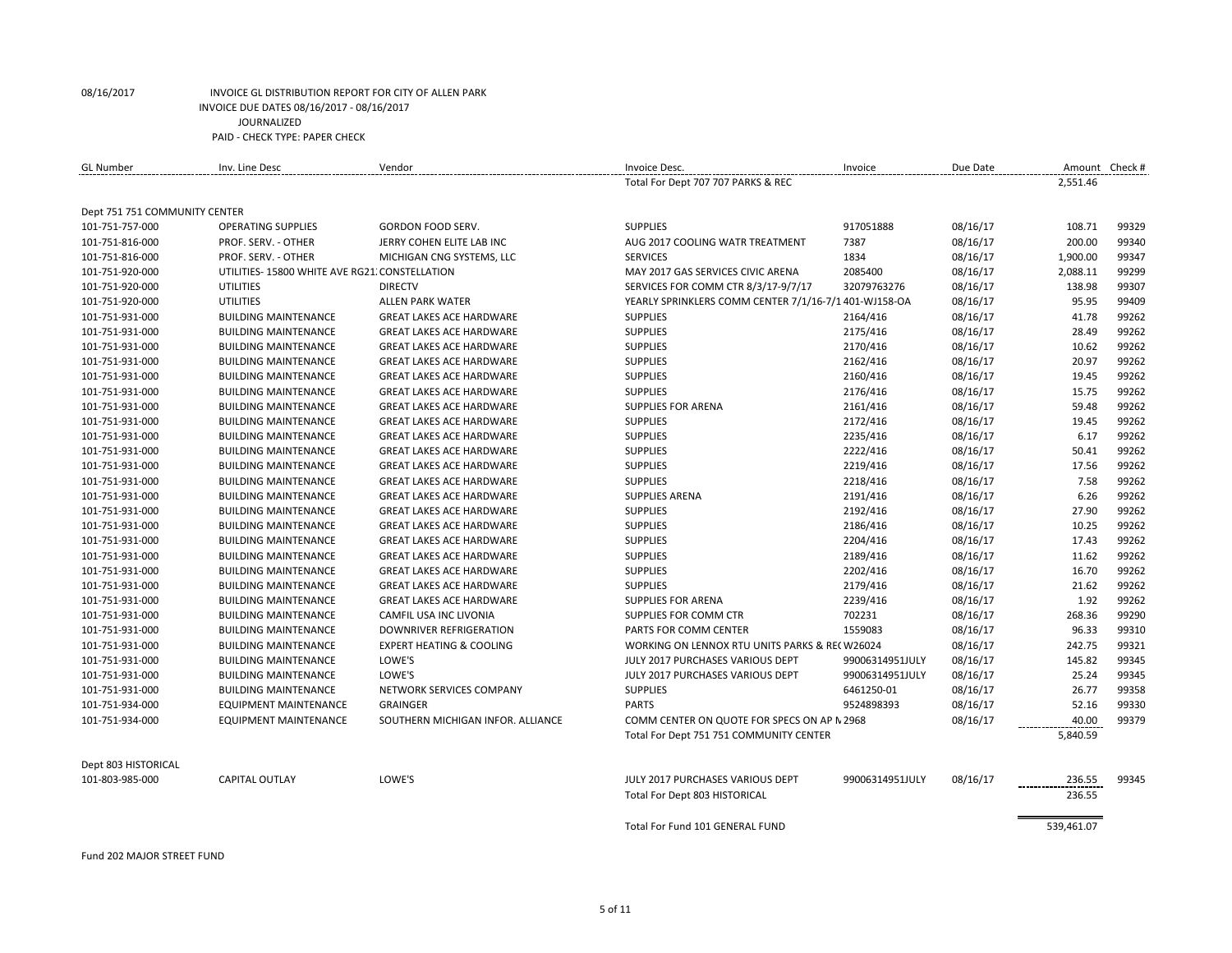| <b>GL Number</b>              | Inv. Line Desc                                | Vendor                              | Invoice Desc.                                         | Invoice         | Due Date | Amount Check # |       |
|-------------------------------|-----------------------------------------------|-------------------------------------|-------------------------------------------------------|-----------------|----------|----------------|-------|
|                               |                                               |                                     | Total For Dept 707 707 PARKS & REC                    |                 |          | 2,551.46       |       |
| Dept 751 751 COMMUNITY CENTER |                                               |                                     |                                                       |                 |          |                |       |
| 101-751-757-000               | <b>OPERATING SUPPLIES</b>                     | GORDON FOOD SERV.                   | <b>SUPPLIES</b>                                       | 917051888       | 08/16/17 | 108.71         | 99329 |
| 101-751-816-000               | PROF. SERV. - OTHER                           | JERRY COHEN ELITE LAB INC           | AUG 2017 COOLING WATR TREATMENT                       | 7387            | 08/16/17 | 200.00         | 99340 |
| 101-751-816-000               | PROF. SERV. - OTHER                           | MICHIGAN CNG SYSTEMS, LLC           | <b>SERVICES</b>                                       | 1834            | 08/16/17 | 1,900.00       | 99347 |
| 101-751-920-000               | UTILITIES-15800 WHITE AVE RG21. CONSTELLATION |                                     | MAY 2017 GAS SERVICES CIVIC ARENA                     | 2085400         | 08/16/17 | 2,088.11       | 99299 |
| 101-751-920-000               | <b>UTILITIES</b>                              | <b>DIRECTV</b>                      | SERVICES FOR COMM CTR 8/3/17-9/7/17                   | 32079763276     | 08/16/17 | 138.98         | 99307 |
| 101-751-920-000               | UTILITIES                                     | <b>ALLEN PARK WATER</b>             | YEARLY SPRINKLERS COMM CENTER 7/1/16-7/1 401-WJ158-OA |                 | 08/16/17 | 95.95          | 99409 |
| 101-751-931-000               | <b>BUILDING MAINTENANCE</b>                   | <b>GREAT LAKES ACE HARDWARE</b>     | <b>SUPPLIES</b>                                       | 2164/416        | 08/16/17 | 41.78          | 99262 |
| 101-751-931-000               | <b>BUILDING MAINTENANCE</b>                   | <b>GREAT LAKES ACE HARDWARE</b>     | <b>SUPPLIES</b>                                       | 2175/416        | 08/16/17 | 28.49          | 99262 |
| 101-751-931-000               | <b>BUILDING MAINTENANCE</b>                   | <b>GREAT LAKES ACE HARDWARE</b>     | <b>SUPPLIES</b>                                       | 2170/416        | 08/16/17 | 10.62          | 99262 |
| 101-751-931-000               | <b>BUILDING MAINTENANCE</b>                   | <b>GREAT LAKES ACE HARDWARE</b>     | <b>SUPPLIES</b>                                       | 2162/416        | 08/16/17 | 20.97          | 99262 |
| 101-751-931-000               | <b>BUILDING MAINTENANCE</b>                   | <b>GREAT LAKES ACE HARDWARE</b>     | <b>SUPPLIES</b>                                       | 2160/416        | 08/16/17 | 19.45          | 99262 |
| 101-751-931-000               | <b>BUILDING MAINTENANCE</b>                   | <b>GREAT LAKES ACE HARDWARE</b>     | <b>SUPPLIES</b>                                       | 2176/416        | 08/16/17 | 15.75          | 99262 |
| 101-751-931-000               | <b>BUILDING MAINTENANCE</b>                   | <b>GREAT LAKES ACE HARDWARE</b>     | <b>SUPPLIES FOR ARENA</b>                             | 2161/416        | 08/16/17 | 59.48          | 99262 |
| 101-751-931-000               | <b>BUILDING MAINTENANCE</b>                   | <b>GREAT LAKES ACE HARDWARE</b>     | <b>SUPPLIES</b>                                       | 2172/416        | 08/16/17 | 19.45          | 99262 |
| 101-751-931-000               | <b>BUILDING MAINTENANCE</b>                   | <b>GREAT LAKES ACE HARDWARE</b>     | <b>SUPPLIES</b>                                       | 2235/416        | 08/16/17 | 6.17           | 99262 |
| 101-751-931-000               | <b>BUILDING MAINTENANCE</b>                   | <b>GREAT LAKES ACE HARDWARE</b>     | <b>SUPPLIES</b>                                       | 2222/416        | 08/16/17 | 50.41          | 99262 |
| 101-751-931-000               | <b>BUILDING MAINTENANCE</b>                   | <b>GREAT LAKES ACE HARDWARE</b>     | <b>SUPPLIES</b>                                       | 2219/416        | 08/16/17 | 17.56          | 99262 |
| 101-751-931-000               | <b>BUILDING MAINTENANCE</b>                   | <b>GREAT LAKES ACE HARDWARE</b>     | <b>SUPPLIES</b>                                       | 2218/416        | 08/16/17 | 7.58           | 99262 |
| 101-751-931-000               | <b>BUILDING MAINTENANCE</b>                   | <b>GREAT LAKES ACE HARDWARE</b>     | <b>SUPPLIES ARENA</b>                                 | 2191/416        | 08/16/17 | 6.26           | 99262 |
| 101-751-931-000               | <b>BUILDING MAINTENANCE</b>                   | <b>GREAT LAKES ACE HARDWARE</b>     | <b>SUPPLIES</b>                                       | 2192/416        | 08/16/17 | 27.90          | 99262 |
| 101-751-931-000               | <b>BUILDING MAINTENANCE</b>                   | <b>GREAT LAKES ACE HARDWARE</b>     | <b>SUPPLIES</b>                                       | 2186/416        | 08/16/17 | 10.25          | 99262 |
| 101-751-931-000               | <b>BUILDING MAINTENANCE</b>                   | <b>GREAT LAKES ACE HARDWARE</b>     | <b>SUPPLIES</b>                                       | 2204/416        | 08/16/17 | 17.43          | 99262 |
| 101-751-931-000               | <b>BUILDING MAINTENANCE</b>                   | <b>GREAT LAKES ACE HARDWARE</b>     | <b>SUPPLIES</b>                                       | 2189/416        | 08/16/17 | 11.62          | 99262 |
| 101-751-931-000               | <b>BUILDING MAINTENANCE</b>                   | <b>GREAT LAKES ACE HARDWARE</b>     | <b>SUPPLIES</b>                                       | 2202/416        | 08/16/17 | 16.70          | 99262 |
| 101-751-931-000               | <b>BUILDING MAINTENANCE</b>                   | <b>GREAT LAKES ACE HARDWARE</b>     | <b>SUPPLIES</b>                                       | 2179/416        | 08/16/17 | 21.62          | 99262 |
| 101-751-931-000               | <b>BUILDING MAINTENANCE</b>                   | <b>GREAT LAKES ACE HARDWARE</b>     | <b>SUPPLIES FOR ARENA</b>                             | 2239/416        | 08/16/17 | 1.92           | 99262 |
| 101-751-931-000               | <b>BUILDING MAINTENANCE</b>                   | CAMFIL USA INC LIVONIA              | SUPPLIES FOR COMM CTR                                 | 702231          | 08/16/17 | 268.36         | 99290 |
| 101-751-931-000               | <b>BUILDING MAINTENANCE</b>                   | <b>DOWNRIVER REFRIGERATION</b>      | PARTS FOR COMM CENTER                                 | 1559083         | 08/16/17 | 96.33          | 99310 |
| 101-751-931-000               | <b>BUILDING MAINTENANCE</b>                   | <b>EXPERT HEATING &amp; COOLING</b> | WORKING ON LENNOX RTU UNITS PARKS & RECW26024         |                 | 08/16/17 | 242.75         | 99321 |
| 101-751-931-000               | <b>BUILDING MAINTENANCE</b>                   | LOWE'S                              | JULY 2017 PURCHASES VARIOUS DEPT                      | 99006314951JULY | 08/16/17 | 145.82         | 99345 |
| 101-751-931-000               | <b>BUILDING MAINTENANCE</b>                   | LOWE'S                              | JULY 2017 PURCHASES VARIOUS DEPT                      | 99006314951JULY | 08/16/17 | 25.24          | 99345 |
| 101-751-931-000               | <b>BUILDING MAINTENANCE</b>                   | NETWORK SERVICES COMPANY            | <b>SUPPLIES</b>                                       | 6461250-01      | 08/16/17 | 26.77          | 99358 |
| 101-751-934-000               | <b>EQUIPMENT MAINTENANCE</b>                  | <b>GRAINGER</b>                     | <b>PARTS</b>                                          | 9524898393      | 08/16/17 | 52.16          | 99330 |
| 101-751-934-000               | <b>EQUIPMENT MAINTENANCE</b>                  | SOUTHERN MICHIGAN INFOR. ALLIANCE   | COMM CENTER ON QUOTE FOR SPECS ON AP N 2968           |                 | 08/16/17 | 40.00          | 99379 |
|                               |                                               |                                     | Total For Dept 751 751 COMMUNITY CENTER               |                 |          | 5,840.59       |       |
| Dept 803 HISTORICAL           |                                               |                                     |                                                       |                 |          |                |       |
| 101-803-985-000               | <b>CAPITAL OUTLAY</b>                         | LOWE'S                              | JULY 2017 PURCHASES VARIOUS DEPT                      | 99006314951JULY | 08/16/17 | 236.55         | 99345 |
|                               |                                               |                                     | Total For Dept 803 HISTORICAL                         |                 |          | 236.55         |       |
|                               |                                               |                                     | Total For Fund 101 GENERAL FUND                       |                 |          | 539,461.07     |       |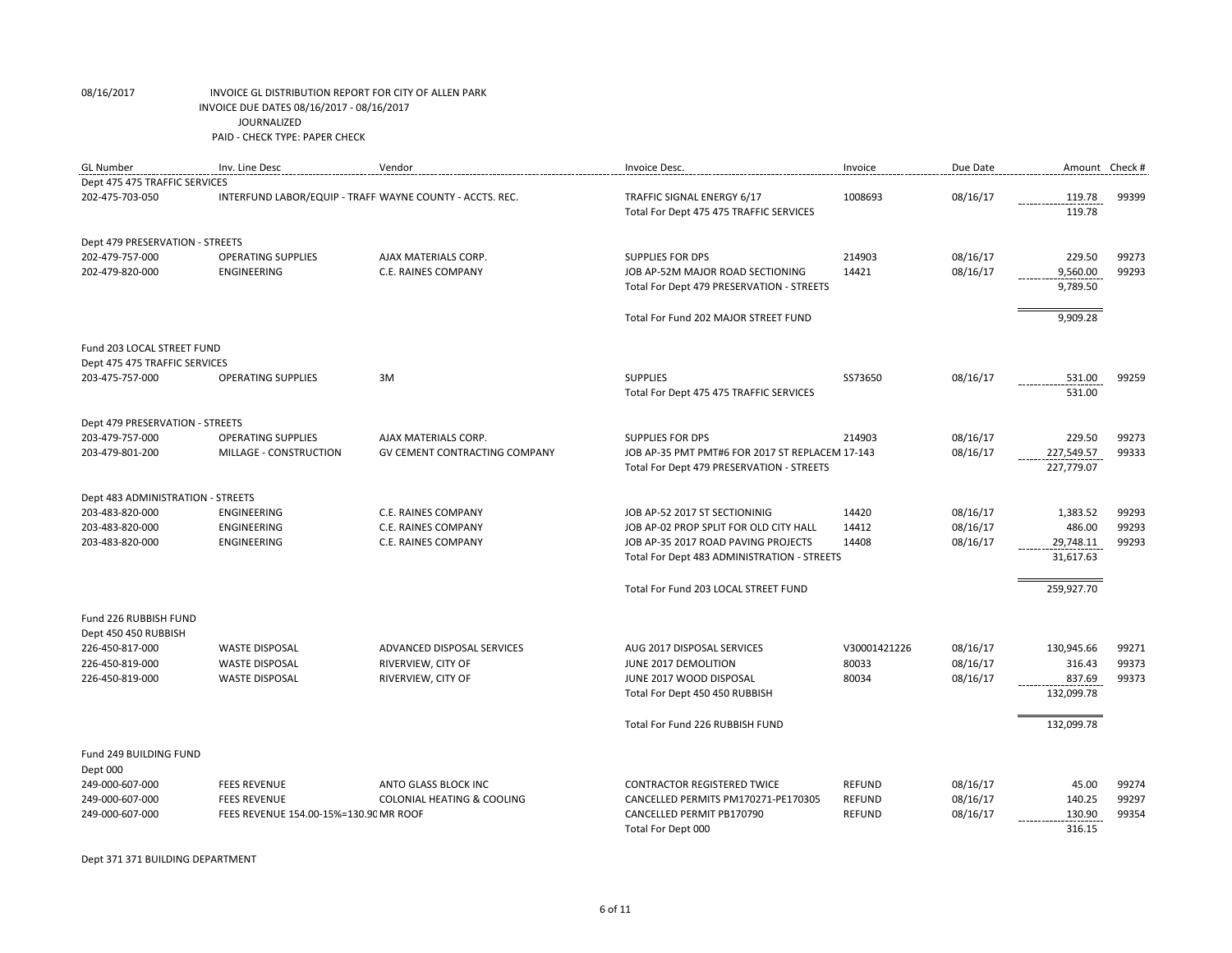| <b>GL Number</b>                  | Inv. Line Desc                         | Vendor                                                   | Invoice Desc.                                                         | Invoice       | Due Date |                  | Amount Check # |
|-----------------------------------|----------------------------------------|----------------------------------------------------------|-----------------------------------------------------------------------|---------------|----------|------------------|----------------|
| Dept 475 475 TRAFFIC SERVICES     |                                        |                                                          |                                                                       |               |          |                  |                |
| 202-475-703-050                   |                                        | INTERFUND LABOR/EQUIP - TRAFF WAYNE COUNTY - ACCTS. REC. | TRAFFIC SIGNAL ENERGY 6/17<br>Total For Dept 475 475 TRAFFIC SERVICES | 1008693       | 08/16/17 | 119.78<br>119.78 | 99399          |
| Dept 479 PRESERVATION - STREETS   |                                        |                                                          |                                                                       |               |          |                  |                |
| 202-479-757-000                   | <b>OPERATING SUPPLIES</b>              | AJAX MATERIALS CORP.                                     | <b>SUPPLIES FOR DPS</b>                                               | 214903        | 08/16/17 | 229.50           | 99273          |
| 202-479-820-000                   | <b>ENGINEERING</b>                     | C.E. RAINES COMPANY                                      | JOB AP-52M MAJOR ROAD SECTIONING                                      | 14421         | 08/16/17 | 9,560.00         | 99293          |
|                                   |                                        |                                                          | Total For Dept 479 PRESERVATION - STREETS                             |               |          | 9,789.50         |                |
|                                   |                                        |                                                          | Total For Fund 202 MAJOR STREET FUND                                  |               |          | 9,909.28         |                |
| Fund 203 LOCAL STREET FUND        |                                        |                                                          |                                                                       |               |          |                  |                |
| Dept 475 475 TRAFFIC SERVICES     |                                        |                                                          |                                                                       |               |          |                  |                |
| 203-475-757-000                   | <b>OPERATING SUPPLIES</b>              | 3M                                                       | <b>SUPPLIES</b>                                                       | SS73650       | 08/16/17 | 531.00           | 99259          |
|                                   |                                        |                                                          | Total For Dept 475 475 TRAFFIC SERVICES                               |               |          | 531.00           |                |
| Dept 479 PRESERVATION - STREETS   |                                        |                                                          |                                                                       |               |          |                  |                |
| 203-479-757-000                   | <b>OPERATING SUPPLIES</b>              | AJAX MATERIALS CORP.                                     | <b>SUPPLIES FOR DPS</b>                                               | 214903        | 08/16/17 | 229.50           | 99273          |
| 203-479-801-200                   | MILLAGE - CONSTRUCTION                 | <b>GV CEMENT CONTRACTING COMPANY</b>                     | JOB AP-35 PMT PMT#6 FOR 2017 ST REPLACEM 17-143                       |               | 08/16/17 | 227,549.57       | 99333          |
|                                   |                                        |                                                          | Total For Dept 479 PRESERVATION - STREETS                             |               |          | 227,779.07       |                |
| Dept 483 ADMINISTRATION - STREETS |                                        |                                                          |                                                                       |               |          |                  |                |
| 203-483-820-000                   | <b>ENGINEERING</b>                     | C.E. RAINES COMPANY                                      | JOB AP-52 2017 ST SECTIONINIG                                         | 14420         | 08/16/17 | 1,383.52         | 99293          |
| 203-483-820-000                   | ENGINEERING                            | C.E. RAINES COMPANY                                      | JOB AP-02 PROP SPLIT FOR OLD CITY HALL                                | 14412         | 08/16/17 | 486.00           | 99293          |
| 203-483-820-000                   | ENGINEERING                            | C.E. RAINES COMPANY                                      | JOB AP-35 2017 ROAD PAVING PROJECTS                                   | 14408         | 08/16/17 | 29,748.11        | 99293          |
|                                   |                                        |                                                          | Total For Dept 483 ADMINISTRATION - STREETS                           |               |          | 31,617.63        |                |
|                                   |                                        |                                                          | Total For Fund 203 LOCAL STREET FUND                                  |               |          | 259,927.70       |                |
| Fund 226 RUBBISH FUND             |                                        |                                                          |                                                                       |               |          |                  |                |
| Dept 450 450 RUBBISH              |                                        |                                                          |                                                                       |               |          |                  |                |
| 226-450-817-000                   | <b>WASTE DISPOSAL</b>                  | ADVANCED DISPOSAL SERVICES                               | AUG 2017 DISPOSAL SERVICES                                            | V30001421226  | 08/16/17 | 130,945.66       | 99271          |
| 226-450-819-000                   | <b>WASTE DISPOSAL</b>                  | RIVERVIEW, CITY OF                                       | JUNE 2017 DEMOLITION                                                  | 80033         | 08/16/17 | 316.43           | 99373          |
| 226-450-819-000                   | <b>WASTE DISPOSAL</b>                  | RIVERVIEW, CITY OF                                       | JUNE 2017 WOOD DISPOSAL                                               | 80034         | 08/16/17 | 837.69           | 99373          |
|                                   |                                        |                                                          | Total For Dept 450 450 RUBBISH                                        |               |          | 132,099.78       |                |
|                                   |                                        |                                                          | Total For Fund 226 RUBBISH FUND                                       |               |          | 132,099.78       |                |
| Fund 249 BUILDING FUND            |                                        |                                                          |                                                                       |               |          |                  |                |
| Dept 000                          |                                        |                                                          |                                                                       |               |          |                  |                |
| 249-000-607-000                   | <b>FEES REVENUE</b>                    | ANTO GLASS BLOCK INC                                     | <b>CONTRACTOR REGISTERED TWICE</b>                                    | REFUND        | 08/16/17 | 45.00            | 99274          |
| 249-000-607-000                   | <b>FEES REVENUE</b>                    | <b>COLONIAL HEATING &amp; COOLING</b>                    | CANCELLED PERMITS PM170271-PE170305                                   | REFUND        | 08/16/17 | 140.25           | 99297          |
| 249-000-607-000                   | FEES REVENUE 154.00-15%=130.90 MR ROOF |                                                          | CANCELLED PERMIT PB170790                                             | <b>REFUND</b> | 08/16/17 | 130.90           | 99354          |
|                                   |                                        |                                                          | Total For Dept 000                                                    |               |          | 316.15           |                |

Dept 371 371 BUILDING DEPARTMENT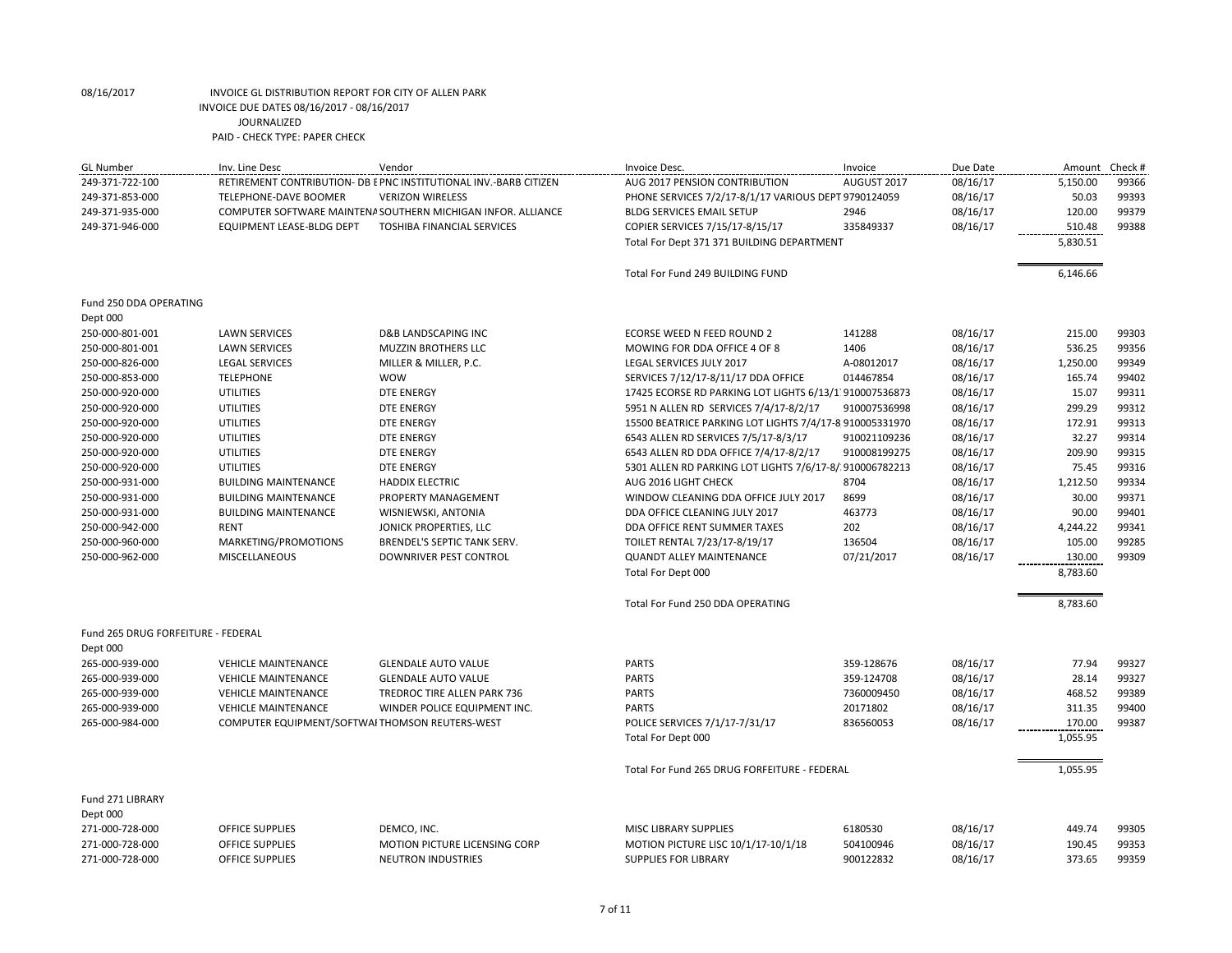| <b>GL</b> Number                   | Inv. Line Desc                                 | Vendor                                                           | Invoice Desc.                                           | Invoice      | Due Date | Amount Check # |       |
|------------------------------------|------------------------------------------------|------------------------------------------------------------------|---------------------------------------------------------|--------------|----------|----------------|-------|
| 249-371-722-100                    |                                                | RETIREMENT CONTRIBUTION- DB EPNC INSTITUTIONAL INV.-BARB CITIZEN | AUG 2017 PENSION CONTRIBUTION                           | AUGUST 2017  | 08/16/17 | 5,150.00       | 99366 |
| 249-371-853-000                    | TELEPHONE-DAVE BOOMER                          | <b>VERIZON WIRELESS</b>                                          | PHONE SERVICES 7/2/17-8/1/17 VARIOUS DEPT 9790124059    |              | 08/16/17 | 50.03          | 99393 |
| 249-371-935-000                    |                                                | COMPUTER SOFTWARE MAINTENA SOUTHERN MICHIGAN INFOR. ALLIANCE     | <b>BLDG SERVICES EMAIL SETUP</b>                        | 2946         | 08/16/17 | 120.00         | 99379 |
| 249-371-946-000                    | <b>EQUIPMENT LEASE-BLDG DEPT</b>               | <b>TOSHIBA FINANCIAL SERVICES</b>                                | COPIER SERVICES 7/15/17-8/15/17                         | 335849337    | 08/16/17 | 510.48         | 99388 |
|                                    |                                                |                                                                  | Total For Dept 371 371 BUILDING DEPARTMENT              |              |          | 5,830.51       |       |
|                                    |                                                |                                                                  | Total For Fund 249 BUILDING FUND                        |              |          | 6,146.66       |       |
| Fund 250 DDA OPERATING             |                                                |                                                                  |                                                         |              |          |                |       |
| Dept 000                           |                                                |                                                                  |                                                         |              |          |                |       |
| 250-000-801-001                    | <b>LAWN SERVICES</b>                           | <b>D&amp;B LANDSCAPING INC</b>                                   | ECORSE WEED N FEED ROUND 2                              | 141288       | 08/16/17 | 215.00         | 99303 |
| 250-000-801-001                    | <b>LAWN SERVICES</b>                           | <b>MUZZIN BROTHERS LLC</b>                                       | MOWING FOR DDA OFFICE 4 OF 8                            | 1406         | 08/16/17 | 536.25         | 99356 |
| 250-000-826-000                    | <b>LEGAL SERVICES</b>                          | MILLER & MILLER, P.C.                                            | LEGAL SERVICES JULY 2017                                | A-08012017   | 08/16/17 | 1,250.00       | 99349 |
| 250-000-853-000                    | <b>TELEPHONE</b>                               | <b>WOW</b>                                                       | SERVICES 7/12/17-8/11/17 DDA OFFICE                     | 014467854    | 08/16/17 | 165.74         | 99402 |
| 250-000-920-000                    | <b>UTILITIES</b>                               | <b>DTE ENERGY</b>                                                | 17425 ECORSE RD PARKING LOT LIGHTS 6/13/1 910007536873  |              | 08/16/17 | 15.07          | 99311 |
| 250-000-920-000                    | <b>UTILITIES</b>                               | <b>DTE ENERGY</b>                                                | 5951 N ALLEN RD SERVICES 7/4/17-8/2/17                  | 910007536998 | 08/16/17 | 299.29         | 99312 |
| 250-000-920-000                    | <b>UTILITIES</b>                               | <b>DTE ENERGY</b>                                                | 15500 BEATRICE PARKING LOT LIGHTS 7/4/17-8 910005331970 |              | 08/16/17 | 172.91         | 99313 |
| 250-000-920-000                    | <b>UTILITIES</b>                               | <b>DTE ENERGY</b>                                                | 6543 ALLEN RD SERVICES 7/5/17-8/3/17                    | 910021109236 | 08/16/17 | 32.27          | 99314 |
| 250-000-920-000                    | <b>UTILITIES</b>                               | <b>DTE ENERGY</b>                                                | 6543 ALLEN RD DDA OFFICE 7/4/17-8/2/17                  | 910008199275 | 08/16/17 | 209.90         | 99315 |
| 250-000-920-000                    | <b>UTILITIES</b>                               | <b>DTE ENERGY</b>                                                | 5301 ALLEN RD PARKING LOT LIGHTS 7/6/17-8/ 910006782213 |              | 08/16/17 | 75.45          | 99316 |
| 250-000-931-000                    | <b>BUILDING MAINTENANCE</b>                    | <b>HADDIX ELECTRIC</b>                                           | AUG 2016 LIGHT CHECK                                    | 8704         | 08/16/17 | 1,212.50       | 99334 |
| 250-000-931-000                    | <b>BUILDING MAINTENANCE</b>                    | PROPERTY MANAGEMENT                                              | WINDOW CLEANING DDA OFFICE JULY 2017                    | 8699         | 08/16/17 | 30.00          | 99371 |
| 250-000-931-000                    | <b>BUILDING MAINTENANCE</b>                    | WISNIEWSKI, ANTONIA                                              | DDA OFFICE CLEANING JULY 2017                           | 463773       | 08/16/17 | 90.00          | 99401 |
| 250-000-942-000                    | RENT                                           | JONICK PROPERTIES, LLC                                           | DDA OFFICE RENT SUMMER TAXES                            | 202          | 08/16/17 | 4,244.22       | 99341 |
| 250-000-960-000                    | MARKETING/PROMOTIONS                           | BRENDEL'S SEPTIC TANK SERV.                                      | TOILET RENTAL 7/23/17-8/19/17                           | 136504       | 08/16/17 | 105.00         | 99285 |
| 250-000-962-000                    | MISCELLANEOUS                                  | <b>DOWNRIVER PEST CONTROL</b>                                    | <b>QUANDT ALLEY MAINTENANCE</b>                         | 07/21/2017   | 08/16/17 | 130.00         | 99309 |
|                                    |                                                |                                                                  | Total For Dept 000                                      |              |          | 8,783.60       |       |
|                                    |                                                |                                                                  | Total For Fund 250 DDA OPERATING                        |              |          | 8,783.60       |       |
| Fund 265 DRUG FORFEITURE - FEDERAL |                                                |                                                                  |                                                         |              |          |                |       |
| Dept 000                           |                                                |                                                                  |                                                         |              |          |                |       |
| 265-000-939-000                    | <b>VEHICLE MAINTENANCE</b>                     | <b>GLENDALE AUTO VALUE</b>                                       | <b>PARTS</b>                                            | 359-128676   | 08/16/17 | 77.94          | 99327 |
| 265-000-939-000                    | <b>VEHICLE MAINTENANCE</b>                     | <b>GLENDALE AUTO VALUE</b>                                       | <b>PARTS</b>                                            | 359-124708   | 08/16/17 | 28.14          | 99327 |
| 265-000-939-000                    | <b>VEHICLE MAINTENANCE</b>                     | TREDROC TIRE ALLEN PARK 736                                      | <b>PARTS</b>                                            | 7360009450   | 08/16/17 | 468.52         | 99389 |
| 265-000-939-000                    | <b>VEHICLE MAINTENANCE</b>                     | WINDER POLICE EQUIPMENT INC.                                     | <b>PARTS</b>                                            | 20171802     | 08/16/17 | 311.35         | 99400 |
| 265-000-984-000                    | COMPUTER EQUIPMENT/SOFTWAITHOMSON REUTERS-WEST |                                                                  | POLICE SERVICES 7/1/17-7/31/17                          | 836560053    | 08/16/17 | 170.00         | 99387 |
|                                    |                                                |                                                                  | Total For Dept 000                                      |              |          | 1,055.95       |       |
|                                    |                                                |                                                                  | Total For Fund 265 DRUG FORFEITURE - FEDERAL            |              |          | 1,055.95       |       |
| Fund 271 LIBRARY                   |                                                |                                                                  |                                                         |              |          |                |       |
| Dept 000                           |                                                |                                                                  |                                                         |              |          |                |       |
| 271-000-728-000                    | OFFICE SUPPLIES                                | DEMCO, INC.                                                      | <b>MISC LIBRARY SUPPLIES</b>                            | 6180530      | 08/16/17 | 449.74         | 99305 |
| 271-000-728-000                    | OFFICE SUPPLIES                                | MOTION PICTURE LICENSING CORP                                    | MOTION PICTURE LISC 10/1/17-10/1/18                     | 504100946    | 08/16/17 | 190.45         | 99353 |
| 271-000-728-000                    | <b>OFFICE SUPPLIES</b>                         | <b>NEUTRON INDUSTRIES</b>                                        | <b>SUPPLIES FOR LIBRARY</b>                             | 900122832    | 08/16/17 | 373.65         | 99359 |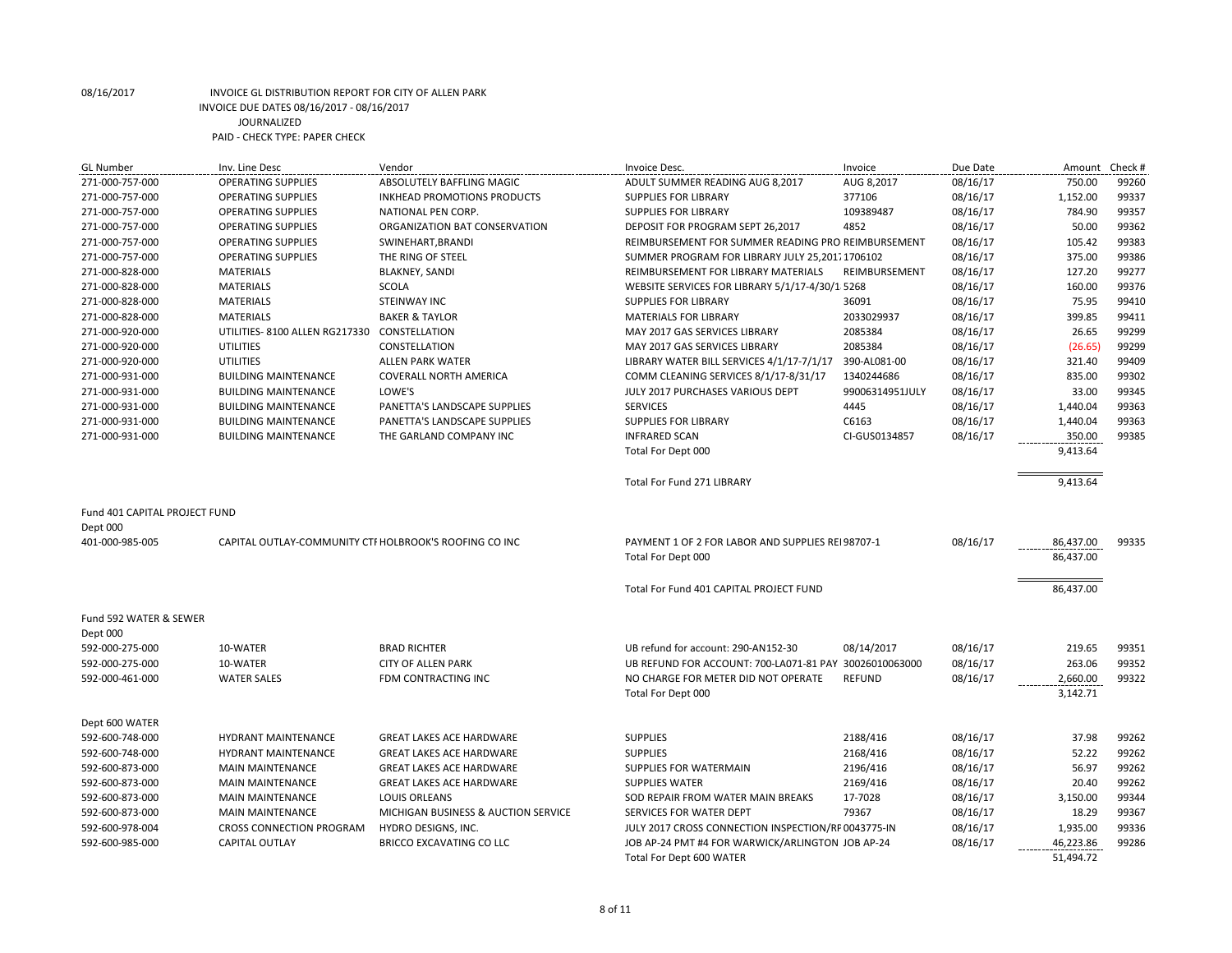| <b>GL Number</b>              | Inv. Line Desc                                         | Vendor                              | Invoice Desc.                                          | Invoice         | Due Date | Amount    | Check # |
|-------------------------------|--------------------------------------------------------|-------------------------------------|--------------------------------------------------------|-----------------|----------|-----------|---------|
| 271-000-757-000               | <b>OPERATING SUPPLIES</b>                              | ABSOLUTELY BAFFLING MAGIC           | ADULT SUMMER READING AUG 8,2017                        | AUG 8,2017      | 08/16/17 | 750.00    | 99260   |
| 271-000-757-000               | <b>OPERATING SUPPLIES</b>                              | <b>INKHEAD PROMOTIONS PRODUCTS</b>  | <b>SUPPLIES FOR LIBRARY</b>                            | 377106          | 08/16/17 | 1,152.00  | 99337   |
| 271-000-757-000               | <b>OPERATING SUPPLIES</b>                              | NATIONAL PEN CORP.                  | <b>SUPPLIES FOR LIBRARY</b>                            | 109389487       | 08/16/17 | 784.90    | 99357   |
| 271-000-757-000               | <b>OPERATING SUPPLIES</b>                              | ORGANIZATION BAT CONSERVATION       | DEPOSIT FOR PROGRAM SEPT 26,2017                       | 4852            | 08/16/17 | 50.00     | 99362   |
| 271-000-757-000               | <b>OPERATING SUPPLIES</b>                              | SWINEHART, BRANDI                   | REIMBURSEMENT FOR SUMMER READING PRO REIMBURSEMENT     |                 | 08/16/17 | 105.42    | 99383   |
| 271-000-757-000               | <b>OPERATING SUPPLIES</b>                              | THE RING OF STEEL                   | SUMMER PROGRAM FOR LIBRARY JULY 25,201. 1706102        |                 | 08/16/17 | 375.00    | 99386   |
| 271-000-828-000               | <b>MATERIALS</b>                                       | <b>BLAKNEY, SANDI</b>               | REIMBURSEMENT FOR LIBRARY MATERIALS                    | REIMBURSEMENT   | 08/16/17 | 127.20    | 99277   |
| 271-000-828-000               | <b>MATERIALS</b>                                       | SCOLA                               | WEBSITE SERVICES FOR LIBRARY 5/1/17-4/30/1 5268        |                 | 08/16/17 | 160.00    | 99376   |
| 271-000-828-000               | <b>MATERIALS</b>                                       | <b>STEINWAY INC</b>                 | <b>SUPPLIES FOR LIBRARY</b>                            | 36091           | 08/16/17 | 75.95     | 99410   |
| 271-000-828-000               | <b>MATERIALS</b>                                       | <b>BAKER &amp; TAYLOR</b>           | <b>MATERIALS FOR LIBRARY</b>                           | 2033029937      | 08/16/17 | 399.85    | 99411   |
| 271-000-920-000               | UTILITIES-8100 ALLEN RG217330                          | CONSTELLATION                       | MAY 2017 GAS SERVICES LIBRARY                          | 2085384         | 08/16/17 | 26.65     | 99299   |
| 271-000-920-000               | UTILITIES                                              | CONSTELLATION                       | MAY 2017 GAS SERVICES LIBRARY                          | 2085384         | 08/16/17 | (26.65)   | 99299   |
| 271-000-920-000               | UTILITIES                                              | <b>ALLEN PARK WATER</b>             | LIBRARY WATER BILL SERVICES 4/1/17-7/1/17              | 390-AL081-00    | 08/16/17 | 321.40    | 99409   |
| 271-000-931-000               | <b>BUILDING MAINTENANCE</b>                            | <b>COVERALL NORTH AMERICA</b>       | COMM CLEANING SERVICES 8/1/17-8/31/17                  | 1340244686      | 08/16/17 | 835.00    | 99302   |
| 271-000-931-000               | <b>BUILDING MAINTENANCE</b>                            | LOWE'S                              | JULY 2017 PURCHASES VARIOUS DEPT                       | 99006314951JULY | 08/16/17 | 33.00     | 99345   |
| 271-000-931-000               | <b>BUILDING MAINTENANCE</b>                            | PANETTA'S LANDSCAPE SUPPLIES        | <b>SERVICES</b>                                        | 4445            | 08/16/17 | 1,440.04  | 99363   |
| 271-000-931-000               | <b>BUILDING MAINTENANCE</b>                            | PANETTA'S LANDSCAPE SUPPLIES        | <b>SUPPLIES FOR LIBRARY</b>                            | C6163           | 08/16/17 | 1,440.04  | 99363   |
| 271-000-931-000               | <b>BUILDING MAINTENANCE</b>                            | THE GARLAND COMPANY INC             | <b>INFRARED SCAN</b>                                   | CI-GUS0134857   | 08/16/17 | 350.00    | 99385   |
|                               |                                                        |                                     | Total For Dept 000                                     |                 |          | 9,413.64  |         |
|                               |                                                        |                                     |                                                        |                 |          |           |         |
|                               |                                                        |                                     | <b>Total For Fund 271 LIBRARY</b>                      |                 |          | 9,413.64  |         |
|                               |                                                        |                                     |                                                        |                 |          |           |         |
| Fund 401 CAPITAL PROJECT FUND |                                                        |                                     |                                                        |                 |          |           |         |
| Dept 000                      |                                                        |                                     |                                                        |                 |          |           |         |
| 401-000-985-005               | CAPITAL OUTLAY-COMMUNITY CTI HOLBROOK'S ROOFING CO INC |                                     | PAYMENT 1 OF 2 FOR LABOR AND SUPPLIES REI 98707-1      |                 | 08/16/17 | 86,437.00 | 99335   |
|                               |                                                        |                                     | Total For Dept 000                                     |                 |          | 86,437.00 |         |
|                               |                                                        |                                     |                                                        |                 |          |           |         |
|                               |                                                        |                                     | Total For Fund 401 CAPITAL PROJECT FUND                |                 |          | 86,437.00 |         |
|                               |                                                        |                                     |                                                        |                 |          |           |         |
| Fund 592 WATER & SEWER        |                                                        |                                     |                                                        |                 |          |           |         |
| Dept 000                      |                                                        |                                     |                                                        |                 |          |           |         |
| 592-000-275-000               | 10-WATER                                               | <b>BRAD RICHTER</b>                 | UB refund for account: 290-AN152-30                    | 08/14/2017      | 08/16/17 | 219.65    | 99351   |
| 592-000-275-000               | 10-WATER                                               | <b>CITY OF ALLEN PARK</b>           | UB REFUND FOR ACCOUNT: 700-LA071-81 PAY 30026010063000 |                 | 08/16/17 | 263.06    | 99352   |
| 592-000-461-000               | <b>WATER SALES</b>                                     | <b>FDM CONTRACTING INC</b>          | NO CHARGE FOR METER DID NOT OPERATE                    | <b>REFUND</b>   | 08/16/17 | 2,660.00  | 99322   |
|                               |                                                        |                                     | Total For Dept 000                                     |                 |          | 3,142.71  |         |
|                               |                                                        |                                     |                                                        |                 |          |           |         |
| Dept 600 WATER                |                                                        |                                     |                                                        |                 |          |           |         |
| 592-600-748-000               | <b>HYDRANT MAINTENANCE</b>                             | <b>GREAT LAKES ACE HARDWARE</b>     | <b>SUPPLIES</b>                                        | 2188/416        | 08/16/17 | 37.98     | 99262   |
| 592-600-748-000               | <b>HYDRANT MAINTENANCE</b>                             | <b>GREAT LAKES ACE HARDWARE</b>     | <b>SUPPLIES</b>                                        | 2168/416        | 08/16/17 | 52.22     | 99262   |
| 592-600-873-000               | <b>MAIN MAINTENANCE</b>                                | <b>GREAT LAKES ACE HARDWARE</b>     | <b>SUPPLIES FOR WATERMAIN</b>                          | 2196/416        | 08/16/17 | 56.97     | 99262   |
| 592-600-873-000               | <b>MAIN MAINTENANCE</b>                                | <b>GREAT LAKES ACE HARDWARE</b>     | <b>SUPPLIES WATER</b>                                  | 2169/416        | 08/16/17 | 20.40     | 99262   |
| 592-600-873-000               | <b>MAIN MAINTENANCE</b>                                | LOUIS ORLEANS                       | SOD REPAIR FROM WATER MAIN BREAKS                      | 17-7028         | 08/16/17 | 3,150.00  | 99344   |
| 592-600-873-000               | <b>MAIN MAINTENANCE</b>                                | MICHIGAN BUSINESS & AUCTION SERVICE | SERVICES FOR WATER DEPT                                | 79367           | 08/16/17 | 18.29     | 99367   |
| 592-600-978-004               | <b>CROSS CONNECTION PROGRAM</b>                        | HYDRO DESIGNS, INC.                 | JULY 2017 CROSS CONNECTION INSPECTION/RF 0043775-IN    |                 | 08/16/17 | 1,935.00  | 99336   |
| 592-600-985-000               | <b>CAPITAL OUTLAY</b>                                  | <b>BRICCO EXCAVATING CO LLC</b>     | JOB AP-24 PMT #4 FOR WARWICK/ARLINGTON JOB AP-24       |                 | 08/16/17 | 46,223.86 | 99286   |
|                               |                                                        |                                     |                                                        |                 |          | 51.494.72 |         |
|                               |                                                        |                                     | Total For Dept 600 WATER                               |                 |          |           |         |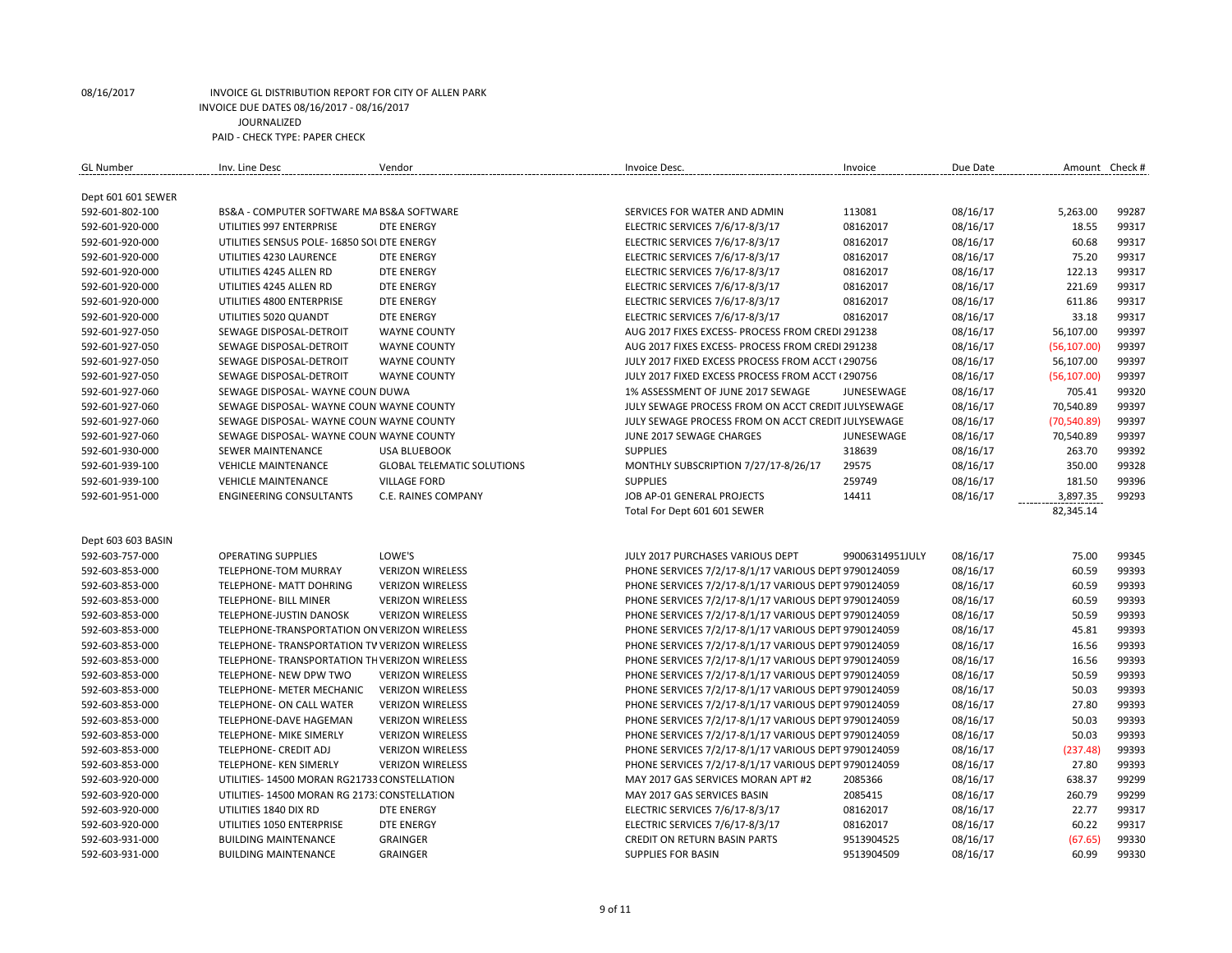| <b>GL Number</b>   | Inv. Line Desc                                | Vendor                            | Invoice Desc.                                        | Invoice         | Due Date | Amount Check # |       |
|--------------------|-----------------------------------------------|-----------------------------------|------------------------------------------------------|-----------------|----------|----------------|-------|
|                    |                                               |                                   |                                                      |                 |          |                |       |
| Dept 601 601 SEWER |                                               |                                   |                                                      |                 |          |                |       |
| 592-601-802-100    | BS&A - COMPUTER SOFTWARE MA BS&A SOFTWARE     |                                   | SERVICES FOR WATER AND ADMIN                         | 113081          | 08/16/17 | 5,263.00       | 99287 |
| 592-601-920-000    | UTILITIES 997 ENTERPRISE                      | <b>DTE ENERGY</b>                 | ELECTRIC SERVICES 7/6/17-8/3/17                      | 08162017        | 08/16/17 | 18.55          | 99317 |
| 592-601-920-000    | UTILITIES SENSUS POLE- 16850 SOL DTE ENERGY   |                                   | ELECTRIC SERVICES 7/6/17-8/3/17                      | 08162017        | 08/16/17 | 60.68          | 99317 |
| 592-601-920-000    | UTILITIES 4230 LAURENCE                       | <b>DTE ENERGY</b>                 | ELECTRIC SERVICES 7/6/17-8/3/17                      | 08162017        | 08/16/17 | 75.20          | 99317 |
| 592-601-920-000    | UTILITIES 4245 ALLEN RD                       | <b>DTE ENERGY</b>                 | ELECTRIC SERVICES 7/6/17-8/3/17                      | 08162017        | 08/16/17 | 122.13         | 99317 |
| 592-601-920-000    | UTILITIES 4245 ALLEN RD                       | <b>DTE ENERGY</b>                 | ELECTRIC SERVICES 7/6/17-8/3/17                      | 08162017        | 08/16/17 | 221.69         | 99317 |
| 592-601-920-000    | UTILITIES 4800 ENTERPRISE                     | <b>DTE ENERGY</b>                 | ELECTRIC SERVICES 7/6/17-8/3/17                      | 08162017        | 08/16/17 | 611.86         | 99317 |
| 592-601-920-000    | UTILITIES 5020 QUANDT                         | <b>DTE ENERGY</b>                 | ELECTRIC SERVICES 7/6/17-8/3/17                      | 08162017        | 08/16/17 | 33.18          | 99317 |
| 592-601-927-050    | SEWAGE DISPOSAL-DETROIT                       | <b>WAYNE COUNTY</b>               | AUG 2017 FIXES EXCESS- PROCESS FROM CREDI 291238     |                 | 08/16/17 | 56,107.00      | 99397 |
| 592-601-927-050    | SEWAGE DISPOSAL-DETROIT                       | <b>WAYNE COUNTY</b>               | AUG 2017 FIXES EXCESS- PROCESS FROM CREDI 291238     |                 | 08/16/17 | (56, 107.00)   | 99397 |
| 592-601-927-050    | SEWAGE DISPOSAL-DETROIT                       | <b>WAYNE COUNTY</b>               | JULY 2017 FIXED EXCESS PROCESS FROM ACCT (290756     |                 | 08/16/17 | 56,107.00      | 99397 |
| 592-601-927-050    | SEWAGE DISPOSAL-DETROIT                       | <b>WAYNE COUNTY</b>               | JULY 2017 FIXED EXCESS PROCESS FROM ACCT (290756)    |                 | 08/16/17 | (56, 107.00)   | 99397 |
| 592-601-927-060    | SEWAGE DISPOSAL- WAYNE COUN DUWA              |                                   | 1% ASSESSMENT OF JUNE 2017 SEWAGE                    | JUNESEWAGE      | 08/16/17 | 705.41         | 99320 |
| 592-601-927-060    | SEWAGE DISPOSAL- WAYNE COUN WAYNE COUNTY      |                                   | JULY SEWAGE PROCESS FROM ON ACCT CREDIT JULYSEWAGE   |                 | 08/16/17 | 70,540.89      | 99397 |
| 592-601-927-060    | SEWAGE DISPOSAL- WAYNE COUN WAYNE COUNTY      |                                   | JULY SEWAGE PROCESS FROM ON ACCT CREDIT JULYSEWAGE   |                 | 08/16/17 | (70, 540.89)   | 99397 |
| 592-601-927-060    | SEWAGE DISPOSAL- WAYNE COUN WAYNE COUNTY      |                                   | JUNE 2017 SEWAGE CHARGES                             | JUNESEWAGE      | 08/16/17 | 70,540.89      | 99397 |
| 592-601-930-000    | <b>SEWER MAINTENANCE</b>                      | <b>USA BLUEBOOK</b>               | <b>SUPPLIES</b>                                      | 318639          | 08/16/17 | 263.70         | 99392 |
| 592-601-939-100    | <b>VEHICLE MAINTENANCE</b>                    | <b>GLOBAL TELEMATIC SOLUTIONS</b> | MONTHLY SUBSCRIPTION 7/27/17-8/26/17                 | 29575           | 08/16/17 | 350.00         | 99328 |
| 592-601-939-100    | <b>VEHICLE MAINTENANCE</b>                    | <b>VILLAGE FORD</b>               | <b>SUPPLIES</b>                                      | 259749          | 08/16/17 | 181.50         | 99396 |
| 592-601-951-000    | <b>ENGINEERING CONSULTANTS</b>                | C.E. RAINES COMPANY               | JOB AP-01 GENERAL PROJECTS                           | 14411           | 08/16/17 | 3,897.35       | 99293 |
|                    |                                               |                                   | Total For Dept 601 601 SEWER                         |                 |          | 82,345.14      |       |
|                    |                                               |                                   |                                                      |                 |          |                |       |
| Dept 603 603 BASIN |                                               |                                   |                                                      |                 |          |                |       |
| 592-603-757-000    | <b>OPERATING SUPPLIES</b>                     | LOWE'S                            | JULY 2017 PURCHASES VARIOUS DEPT                     | 99006314951JULY | 08/16/17 | 75.00          | 99345 |
| 592-603-853-000    | TELEPHONE-TOM MURRAY                          | <b>VERIZON WIRELESS</b>           | PHONE SERVICES 7/2/17-8/1/17 VARIOUS DEPT 9790124059 |                 | 08/16/17 | 60.59          | 99393 |
| 592-603-853-000    | TELEPHONE- MATT DOHRING                       | <b>VERIZON WIRELESS</b>           | PHONE SERVICES 7/2/17-8/1/17 VARIOUS DEPT 9790124059 |                 | 08/16/17 | 60.59          | 99393 |
| 592-603-853-000    | <b>TELEPHONE- BILL MINER</b>                  | <b>VERIZON WIRELESS</b>           | PHONE SERVICES 7/2/17-8/1/17 VARIOUS DEPT 9790124059 |                 | 08/16/17 | 60.59          | 99393 |
| 592-603-853-000    | TELEPHONE-JUSTIN DANOSK                       | <b>VERIZON WIRELESS</b>           | PHONE SERVICES 7/2/17-8/1/17 VARIOUS DEPT 9790124059 |                 | 08/16/17 | 50.59          | 99393 |
| 592-603-853-000    | TELEPHONE-TRANSPORTATION ON VERIZON WIRELESS  |                                   | PHONE SERVICES 7/2/17-8/1/17 VARIOUS DEPT 9790124059 |                 | 08/16/17 | 45.81          | 99393 |
| 592-603-853-000    | TELEPHONE-TRANSPORTATION TV VERIZON WIRELESS  |                                   | PHONE SERVICES 7/2/17-8/1/17 VARIOUS DEPT 9790124059 |                 | 08/16/17 | 16.56          | 99393 |
| 592-603-853-000    | TELEPHONE- TRANSPORTATION TH VERIZON WIRELESS |                                   | PHONE SERVICES 7/2/17-8/1/17 VARIOUS DEPT 9790124059 |                 | 08/16/17 | 16.56          | 99393 |
| 592-603-853-000    | TELEPHONE- NEW DPW TWO                        | <b>VERIZON WIRELESS</b>           | PHONE SERVICES 7/2/17-8/1/17 VARIOUS DEPT 9790124059 |                 | 08/16/17 | 50.59          | 99393 |
| 592-603-853-000    | TELEPHONE- METER MECHANIC                     | <b>VERIZON WIRELESS</b>           | PHONE SERVICES 7/2/17-8/1/17 VARIOUS DEPT 9790124059 |                 | 08/16/17 | 50.03          | 99393 |
| 592-603-853-000    | TELEPHONE- ON CALL WATER                      | <b>VERIZON WIRELESS</b>           | PHONE SERVICES 7/2/17-8/1/17 VARIOUS DEPT 9790124059 |                 | 08/16/17 | 27.80          | 99393 |
| 592-603-853-000    | TELEPHONE-DAVE HAGEMAN                        | <b>VERIZON WIRELESS</b>           | PHONE SERVICES 7/2/17-8/1/17 VARIOUS DEPT 9790124059 |                 | 08/16/17 | 50.03          | 99393 |
| 592-603-853-000    | TELEPHONE- MIKE SIMERLY                       | <b>VERIZON WIRELESS</b>           | PHONE SERVICES 7/2/17-8/1/17 VARIOUS DEPT 9790124059 |                 | 08/16/17 | 50.03          | 99393 |
| 592-603-853-000    | TELEPHONE- CREDIT ADJ                         | <b>VERIZON WIRELESS</b>           | PHONE SERVICES 7/2/17-8/1/17 VARIOUS DEPT 9790124059 |                 | 08/16/17 | (237.48)       | 99393 |
| 592-603-853-000    | TELEPHONE- KEN SIMERLY                        | <b>VERIZON WIRELESS</b>           | PHONE SERVICES 7/2/17-8/1/17 VARIOUS DEPT 9790124059 |                 | 08/16/17 | 27.80          | 99393 |
| 592-603-920-000    | UTILITIES-14500 MORAN RG21733 CONSTELLATION   |                                   | MAY 2017 GAS SERVICES MORAN APT #2                   | 2085366         | 08/16/17 | 638.37         | 99299 |
| 592-603-920-000    | UTILITIES-14500 MORAN RG 2173; CONSTELLATION  |                                   | MAY 2017 GAS SERVICES BASIN                          | 2085415         | 08/16/17 | 260.79         | 99299 |
| 592-603-920-000    | UTILITIES 1840 DIX RD                         | <b>DTE ENERGY</b>                 | ELECTRIC SERVICES 7/6/17-8/3/17                      | 08162017        | 08/16/17 | 22.77          | 99317 |
| 592-603-920-000    | UTILITIES 1050 ENTERPRISE                     | <b>DTE ENERGY</b>                 | ELECTRIC SERVICES 7/6/17-8/3/17                      | 08162017        | 08/16/17 | 60.22          | 99317 |
| 592-603-931-000    | <b>BUILDING MAINTENANCE</b>                   | <b>GRAINGER</b>                   | <b>CREDIT ON RETURN BASIN PARTS</b>                  | 9513904525      | 08/16/17 | (67.65)        | 99330 |
| 592-603-931-000    | <b>BUILDING MAINTENANCE</b>                   | <b>GRAINGER</b>                   | <b>SUPPLIES FOR BASIN</b>                            | 9513904509      | 08/16/17 | 60.99          | 99330 |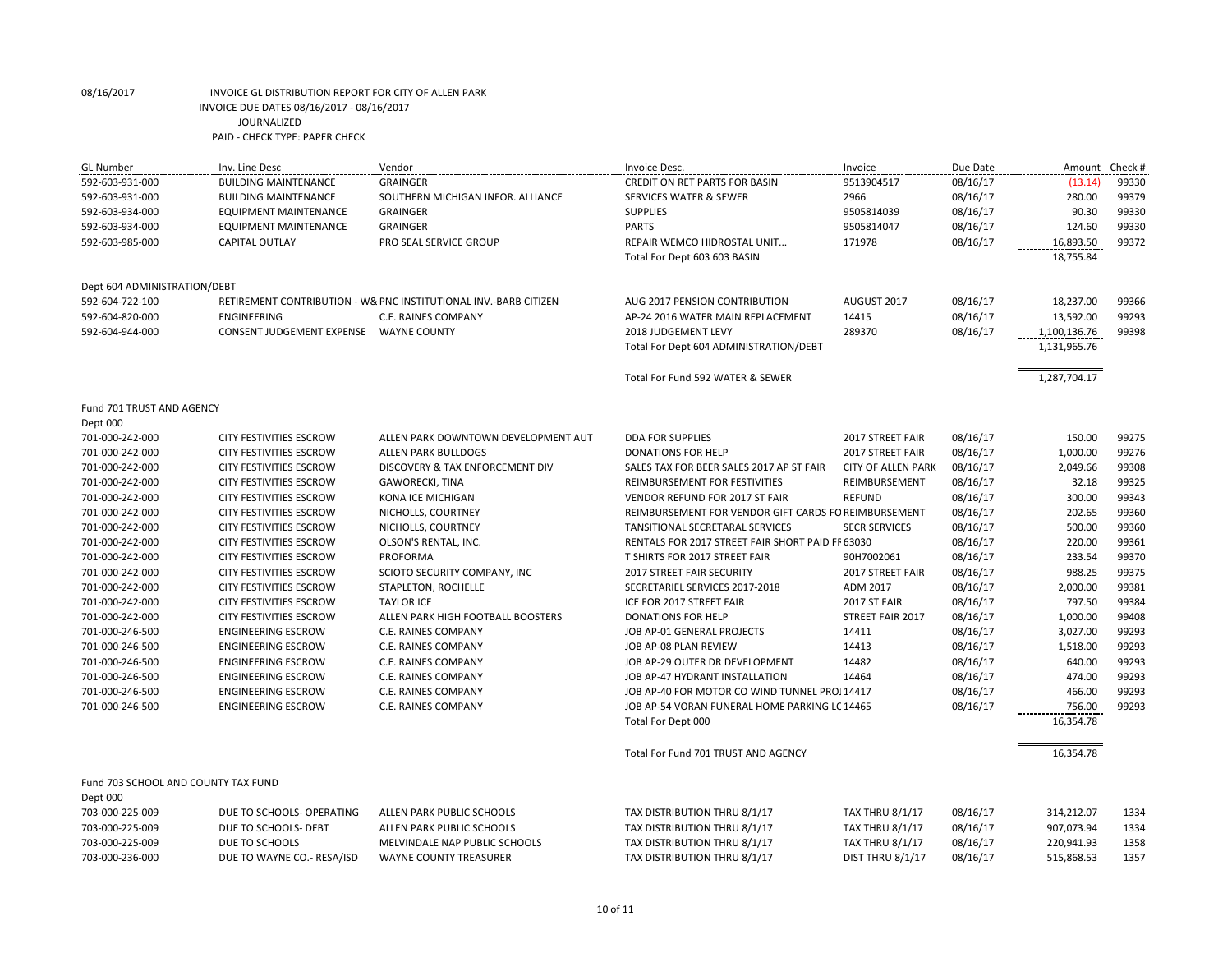Dept 000

| <b>GL Number</b>             | Inv. Line Desc                   | Vendor                                                           | Invoice Desc.                          | Invoice     | Due Date | Amount       | Check # |
|------------------------------|----------------------------------|------------------------------------------------------------------|----------------------------------------|-------------|----------|--------------|---------|
| 592-603-931-000              | <b>BUILDING MAINTENANCE</b>      | <b>GRAINGER</b>                                                  | CREDIT ON RET PARTS FOR BASIN          | 9513904517  | 08/16/17 | (13.14)      | 99330   |
| 592-603-931-000              | <b>BUILDING MAINTENANCE</b>      | SOUTHERN MICHIGAN INFOR. ALLIANCE                                | SERVICES WATER & SEWER                 | 2966        | 08/16/17 | 280.00       | 99379   |
| 592-603-934-000              | EQUIPMENT MAINTENANCE            | <b>GRAINGER</b>                                                  | <b>SUPPLIES</b>                        | 9505814039  | 08/16/17 | 90.30        | 99330   |
| 592-603-934-000              | EQUIPMENT MAINTENANCE            | <b>GRAINGER</b>                                                  | <b>PARTS</b>                           | 9505814047  | 08/16/17 | 124.60       | 99330   |
| 592-603-985-000              | <b>CAPITAL OUTLAY</b>            | PRO SEAL SERVICE GROUP                                           | <b>REPAIR WEMCO HIDROSTAL UNIT</b>     | 171978      | 08/16/17 | 16,893.50    | 99372   |
|                              |                                  |                                                                  | Total For Dept 603 603 BASIN           |             |          | 18,755.84    |         |
| Dept 604 ADMINISTRATION/DEBT |                                  |                                                                  |                                        |             |          |              |         |
| 592-604-722-100              |                                  | RETIREMENT CONTRIBUTION - W& PNC INSTITUTIONAL INV.-BARB CITIZEN | AUG 2017 PENSION CONTRIBUTION          | AUGUST 2017 | 08/16/17 | 18,237.00    | 99366   |
| 592-604-820-000              | ENGINEERING                      | C.E. RAINES COMPANY                                              | AP-24 2016 WATER MAIN REPLACEMENT      | 14415       | 08/16/17 | 13,592.00    | 99293   |
| 592-604-944-000              | <b>CONSENT JUDGEMENT EXPENSE</b> | <b>WAYNE COUNTY</b>                                              | 2018 JUDGEMENT LEVY                    | 289370      | 08/16/17 | 1,100,136.76 | 99398   |
|                              |                                  |                                                                  | Total For Dept 604 ADMINISTRATION/DEBT |             |          | 1,131,965.76 |         |
|                              |                                  |                                                                  | Total For Fund 592 WATER & SEWER       |             |          | 1,287,704.17 |         |
| Fund 701 TRUST AND AGENCY    |                                  |                                                                  |                                        |             |          |              |         |

701-000-242-000 CITY FESTIVITIES ESCROW ALLEN PARK DOWNTOWN DEVELOPMENT AUT DDA FOR SUPPLIES 2017 STREET FAIR 08/16/17 150.00 99275 701-000-242-000 CITY FESTIVITIES ESCROW ALLEN PARK BULLDOGS DONATIONS FOR HELP 2017 STREET FAIR 08/16/17 1,000.00 99276 701-000-242-000 CITY FESTIVITIES ESCROW DISCOVERY & TAX ENFORCEMENT DIV SALES TAX FOR BEER SALES 2017 AP ST FAIR CITY OF ALLEN PARK 08/16/17 2,049.66 99308 701-000-242-000 CITY FESTIVITIES ESCROW GAWORECKI, TINA REIMBURSEMENT FOR FESTIVITIES REIMBURSEMENT 08/16/17 32.18 99325 701-000-242-000 CITY FESTIVITIES ESCROW KONA ICE MICHIGAN VENDOR REFUND FOR 2017 ST FAIR REFUND 08/16/17 300.00 99343 701-000-242-000 CITY FESTIVITIES ESCROW NICHOLLS, COURTNEY REIMBURSEMENT FOR VENDOR GIFT CARDS FOR NEW VENDORS REIMBURSEMENT 08/16/17 202.65 99360 701-000-242-000 CITY FESTIVITIES ESCROW NICHOLLS, COURTNEY TANSITIONAL SECRETARAL SERVICES SECR SERVICES 08/16/17 500.00 99360 701-000-242-000 CITY FESTIVITIES ESCROW OLSON'S RENTAL, INC. RENTALS FOR 2017 STREET FAIR SHORT PAID FF 63030 08/16/17 220.00 99361 701-000-242-000 CITY FESTIVITIES ESCROW PROFORMA T SHIRTS FOR 2017 STREET FAIR 90H7002061 08/16/17 233.54 99370 701-000-242-000 CITY FESTIVITIES ESCROW SCIOTO SECURITY COMPANY, INC 2017 STREET FAIR SECURITY 2017 STREET FAIR 08/16/17 988.25 99375 701-000-242-000 CITY FESTIVITIES ESCROW STAPLETON, ROCHELLE SECRETARIEL SERVICES 2017-2018 ADM 2017 08/16/17 2,000.00 99381 701-000-242-000 CITY FESTIVITIES ESCROW TAYLOR ICE ICE FOR 2017 STREET FAIR 2017 ST FAIR 08/16/17 797.50 99384 701-000-242-000 CITY FESTIVITIES ESCROW ALLEN PARK HIGH FOOTBALL BOOSTERS DONATIONS FOR HELP STREET FAIR 2017 08/16/17 1,000.00 99408 701-000-246-500 ENGINEERING ESCROW C.E. RAINES COMPANY JOB AP-01 GENERAL PROJECTS 14411 08/16/17 3,027.00 99293 701-000-246-500 ENGINEERING ESCROW C.E. RAINES COMPANY JOB AP-08 PLAN REVIEW 14413 08/16/17 1,518.00 99293 701-000-246-500 ENGINEERING ESCROW C.E. RAINES COMPANY JOB AP-29 OUTER DR DEVELOPMENT 14482 08/16/17 640.00 99293 701-000-246-500 ENGINEERING ESCROW C.E. RAINES COMPANY JOB AP-47 HYDRANT INSTALLATION 14464 08/16/17 474.00 99293 701-000-246-500 ENGINEERING ESCROW C.E. RAINES COMPANY JOB AP-40 FOR MOTOR CO WIND TUNNEL PROJ14417 08/16/17 466.00 99293 701-000-246-500 ENGINEERING ESCROW C.E. RAINES COMPANY JOB AP-54 VORAN FUNERAL HOME PARKING LC 14465 08/16/17 756.00 99293 Total For Dept 000 16,354.78

Total For Fund 701 TRUST AND AGENCY 16,354.78 Fund 703 SCHOOL AND COUNTY TAX FUND Dept 000 703-000-225-009 DUE TO SCHOOLS- OPERATING ALLEN PARK PUBLIC SCHOOLS TAX DISTRIBUTION THRU 8/1/17 TAX THRU 8/1/17 08/16/17 314,212.07 1334 703-000-225-009 DUE TO SCHOOLS- DEBT ALLEN PARK PUBLIC SCHOOLS TAX DISTRIBUTION THRU 8/1/17 TAX THRU 8/1/17 08/16/17 907,073.94 1334 703-000-225-009 DUE TO SCHOOLS MELVINDALE NAP PUBLIC SCHOOLS TAX DISTRIBUTION THRU 8/1/17 TAX THRU 8/1/17 08/16/17 220,941.93 1358 703-000-236-000 DUE TO WAYNE CO.- RESA/ISD WAYNE COUNTY TREASURER TAX DISTRIBUTION THRU 8/1/17 DIST THRU 8/1/17 08/16/17 515,868.53 1357